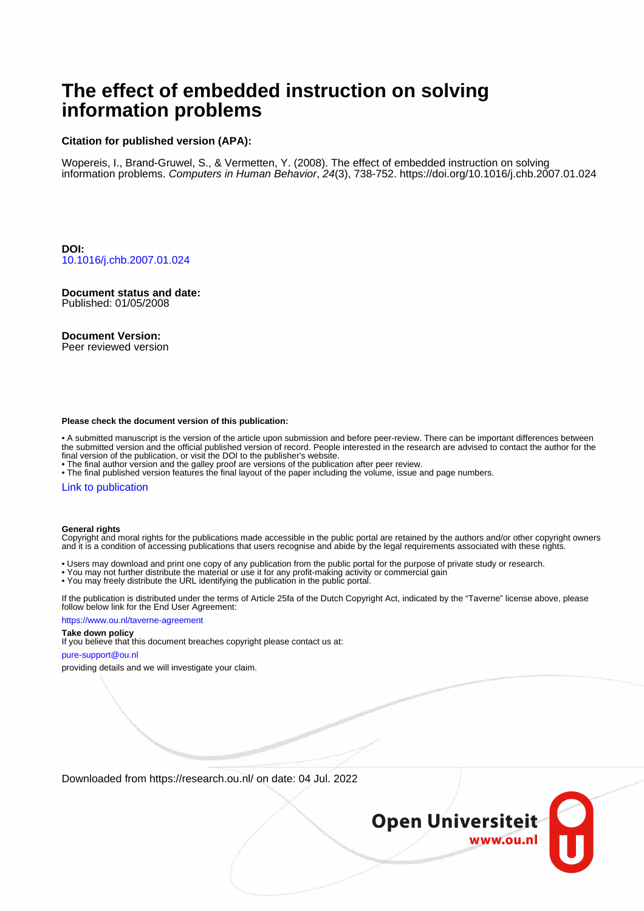# **The effect of embedded instruction on solving information problems**

#### **Citation for published version (APA):**

Wopereis, I., Brand-Gruwel, S., & Vermetten, Y. (2008). The effect of embedded instruction on solving information problems. Computers in Human Behavior, 24(3), 738-752.<https://doi.org/10.1016/j.chb.2007.01.024>

**DOI:** [10.1016/j.chb.2007.01.024](https://doi.org/10.1016/j.chb.2007.01.024)

**Document status and date:** Published: 01/05/2008

#### **Document Version:**

Peer reviewed version

#### **Please check the document version of this publication:**

• A submitted manuscript is the version of the article upon submission and before peer-review. There can be important differences between the submitted version and the official published version of record. People interested in the research are advised to contact the author for the final version of the publication, or visit the DOI to the publisher's website.

• The final author version and the galley proof are versions of the publication after peer review.

• The final published version features the final layout of the paper including the volume, issue and page numbers.

#### [Link to publication](https://research.ou.nl/en/publications/22f357c1-01ba-4c81-8aa5-28ff3a88c8b3)

#### **General rights**

Copyright and moral rights for the publications made accessible in the public portal are retained by the authors and/or other copyright owners and it is a condition of accessing publications that users recognise and abide by the legal requirements associated with these rights.

- Users may download and print one copy of any publication from the public portal for the purpose of private study or research.
- You may not further distribute the material or use it for any profit-making activity or commercial gain
- You may freely distribute the URL identifying the publication in the public portal.

If the publication is distributed under the terms of Article 25fa of the Dutch Copyright Act, indicated by the "Taverne" license above, please follow below link for the End User Agreement:

#### https://www.ou.nl/taverne-agreement

#### **Take down policy**

If you believe that this document breaches copyright please contact us at:

#### pure-support@ou.nl

providing details and we will investigate your claim.

Downloaded from https://research.ou.nl/ on date: 04 Jul. 2022

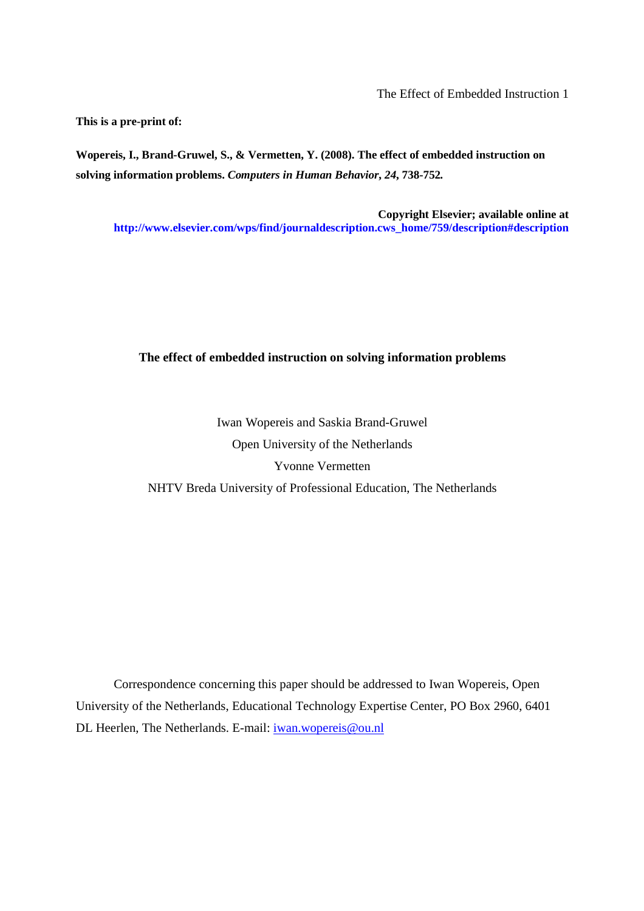**This is a pre-print of:** 

**Wopereis, I., Brand-Gruwel, S., & Vermetten, Y. (2008). The effect of embedded instruction on solving information problems.** *Computers in Human Behavior***,** *24***, 738-752***.* 

**Copyright Elsevier; available online at http://www.elsevier.com/wps/find/journaldescription.cws\_home/759/description#description** 

## **The effect of embedded instruction on solving information problems**

Iwan Wopereis and Saskia Brand-Gruwel Open University of the Netherlands Yvonne Vermetten NHTV Breda University of Professional Education, The Netherlands

Correspondence concerning this paper should be addressed to Iwan Wopereis, Open University of the Netherlands, Educational Technology Expertise Center, PO Box 2960, 6401 DL Heerlen, The Netherlands. E-mail: iwan.wopereis@ou.nl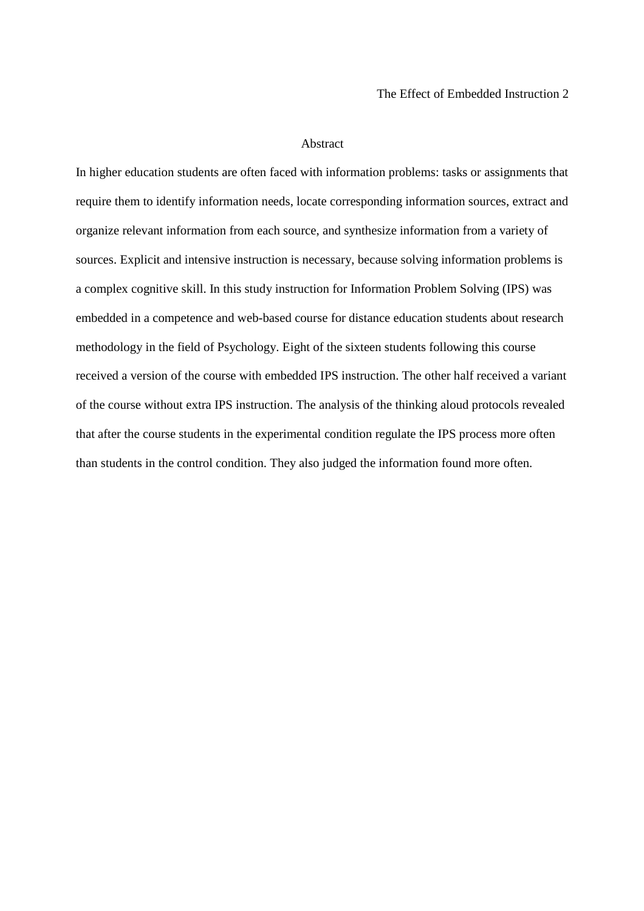#### Abstract

In higher education students are often faced with information problems: tasks or assignments that require them to identify information needs, locate corresponding information sources, extract and organize relevant information from each source, and synthesize information from a variety of sources. Explicit and intensive instruction is necessary, because solving information problems is a complex cognitive skill. In this study instruction for Information Problem Solving (IPS) was embedded in a competence and web-based course for distance education students about research methodology in the field of Psychology. Eight of the sixteen students following this course received a version of the course with embedded IPS instruction. The other half received a variant of the course without extra IPS instruction. The analysis of the thinking aloud protocols revealed that after the course students in the experimental condition regulate the IPS process more often than students in the control condition. They also judged the information found more often.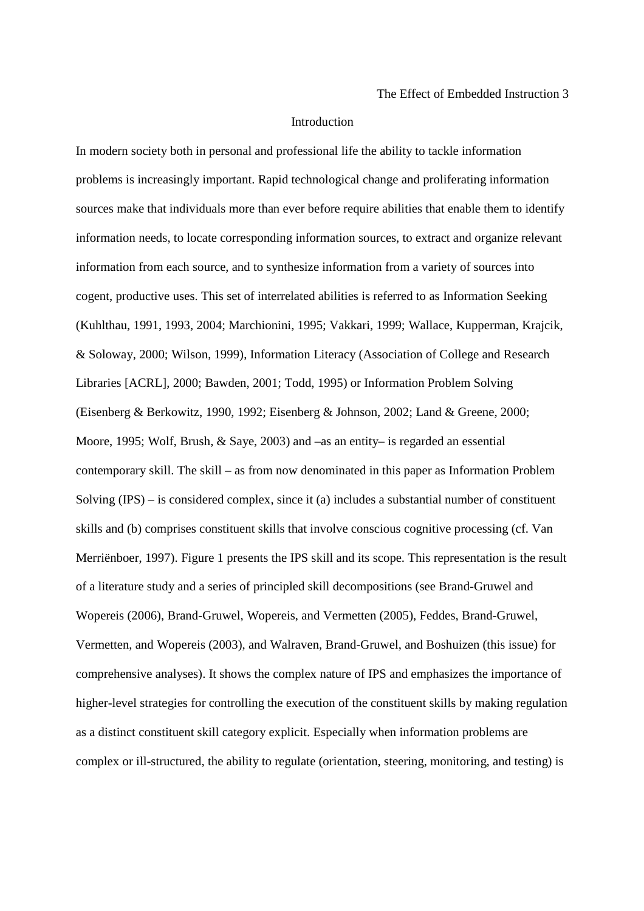#### Introduction

In modern society both in personal and professional life the ability to tackle information problems is increasingly important. Rapid technological change and proliferating information sources make that individuals more than ever before require abilities that enable them to identify information needs, to locate corresponding information sources, to extract and organize relevant information from each source, and to synthesize information from a variety of sources into cogent, productive uses. This set of interrelated abilities is referred to as Information Seeking (Kuhlthau, 1991, 1993, 2004; Marchionini, 1995; Vakkari, 1999; Wallace, Kupperman, Krajcik, & Soloway, 2000; Wilson, 1999), Information Literacy (Association of College and Research Libraries [ACRL], 2000; Bawden, 2001; Todd, 1995) or Information Problem Solving (Eisenberg & Berkowitz, 1990, 1992; Eisenberg & Johnson, 2002; Land & Greene, 2000; Moore, 1995; Wolf, Brush, & Saye, 2003) and –as an entity– is regarded an essential contemporary skill. The skill – as from now denominated in this paper as Information Problem Solving (IPS) – is considered complex, since it (a) includes a substantial number of constituent skills and (b) comprises constituent skills that involve conscious cognitive processing (cf. Van Merriënboer, 1997). Figure 1 presents the IPS skill and its scope. This representation is the result of a literature study and a series of principled skill decompositions (see Brand-Gruwel and Wopereis (2006), Brand-Gruwel, Wopereis, and Vermetten (2005), Feddes, Brand-Gruwel, Vermetten, and Wopereis (2003), and Walraven, Brand-Gruwel, and Boshuizen (this issue) for comprehensive analyses). It shows the complex nature of IPS and emphasizes the importance of higher-level strategies for controlling the execution of the constituent skills by making regulation as a distinct constituent skill category explicit. Especially when information problems are complex or ill-structured, the ability to regulate (orientation, steering, monitoring, and testing) is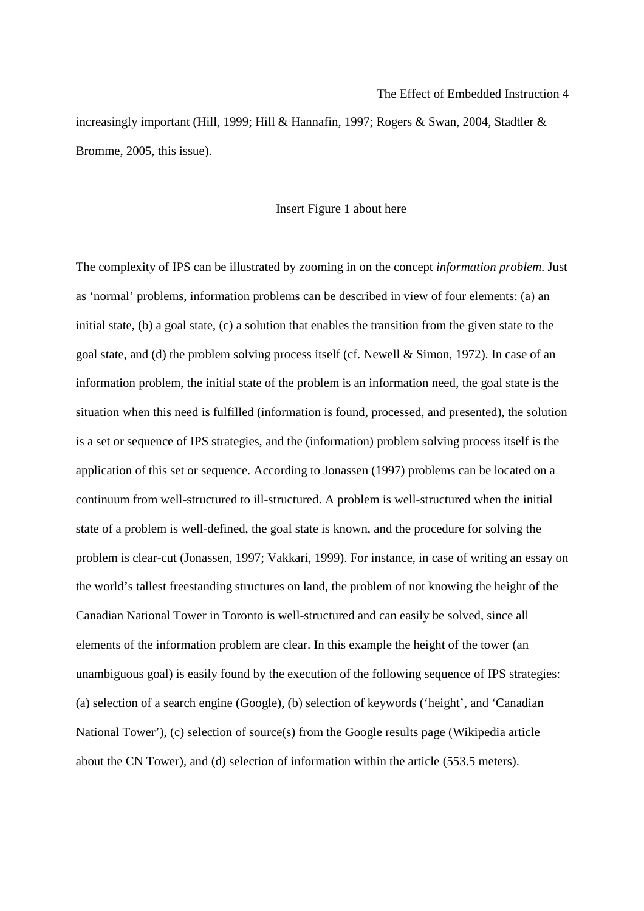increasingly important (Hill, 1999; Hill & Hannafin, 1997; Rogers & Swan, 2004, Stadtler & Bromme, 2005, this issue).

#### Insert Figure 1 about here

The complexity of IPS can be illustrated by zooming in on the concept *information problem*. Just as 'normal' problems, information problems can be described in view of four elements: (a) an initial state, (b) a goal state, (c) a solution that enables the transition from the given state to the goal state, and (d) the problem solving process itself (cf. Newell & Simon, 1972). In case of an information problem, the initial state of the problem is an information need, the goal state is the situation when this need is fulfilled (information is found, processed, and presented), the solution is a set or sequence of IPS strategies, and the (information) problem solving process itself is the application of this set or sequence. According to Jonassen (1997) problems can be located on a continuum from well-structured to ill-structured. A problem is well-structured when the initial state of a problem is well-defined, the goal state is known, and the procedure for solving the problem is clear-cut (Jonassen, 1997; Vakkari, 1999). For instance, in case of writing an essay on the world's tallest freestanding structures on land, the problem of not knowing the height of the Canadian National Tower in Toronto is well-structured and can easily be solved, since all elements of the information problem are clear. In this example the height of the tower (an unambiguous goal) is easily found by the execution of the following sequence of IPS strategies: (a) selection of a search engine (Google), (b) selection of keywords ('height', and 'Canadian National Tower'), (c) selection of source(s) from the Google results page (Wikipedia article about the CN Tower), and (d) selection of information within the article (553.5 meters).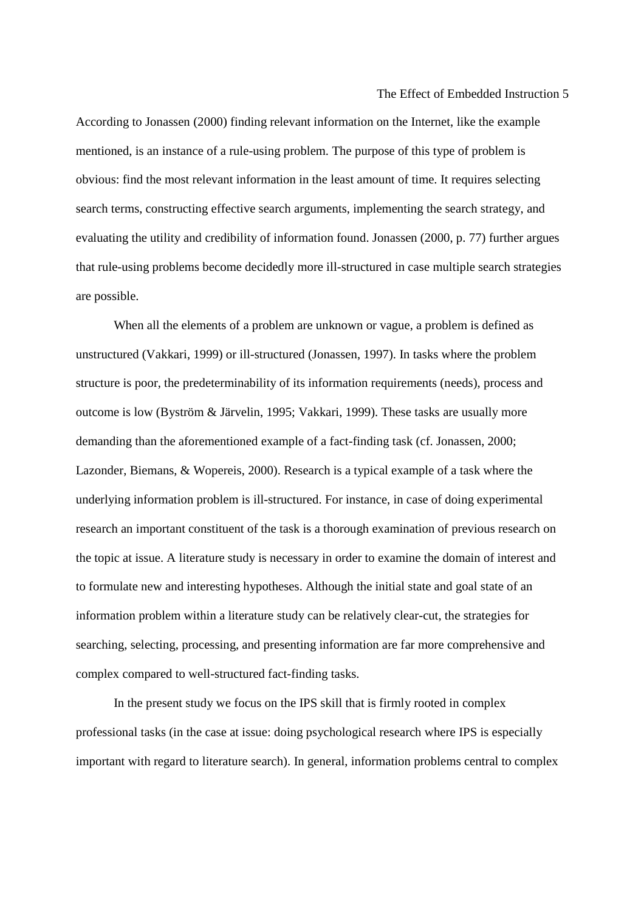According to Jonassen (2000) finding relevant information on the Internet, like the example mentioned, is an instance of a rule-using problem. The purpose of this type of problem is obvious: find the most relevant information in the least amount of time. It requires selecting search terms, constructing effective search arguments, implementing the search strategy, and evaluating the utility and credibility of information found. Jonassen (2000, p. 77) further argues that rule-using problems become decidedly more ill-structured in case multiple search strategies are possible.

When all the elements of a problem are unknown or vague, a problem is defined as unstructured (Vakkari, 1999) or ill-structured (Jonassen, 1997). In tasks where the problem structure is poor, the predeterminability of its information requirements (needs), process and outcome is low (Byström & Järvelin, 1995; Vakkari, 1999). These tasks are usually more demanding than the aforementioned example of a fact-finding task (cf. Jonassen, 2000; Lazonder, Biemans, & Wopereis, 2000). Research is a typical example of a task where the underlying information problem is ill-structured. For instance, in case of doing experimental research an important constituent of the task is a thorough examination of previous research on the topic at issue. A literature study is necessary in order to examine the domain of interest and to formulate new and interesting hypotheses. Although the initial state and goal state of an information problem within a literature study can be relatively clear-cut, the strategies for searching, selecting, processing, and presenting information are far more comprehensive and complex compared to well-structured fact-finding tasks.

In the present study we focus on the IPS skill that is firmly rooted in complex professional tasks (in the case at issue: doing psychological research where IPS is especially important with regard to literature search). In general, information problems central to complex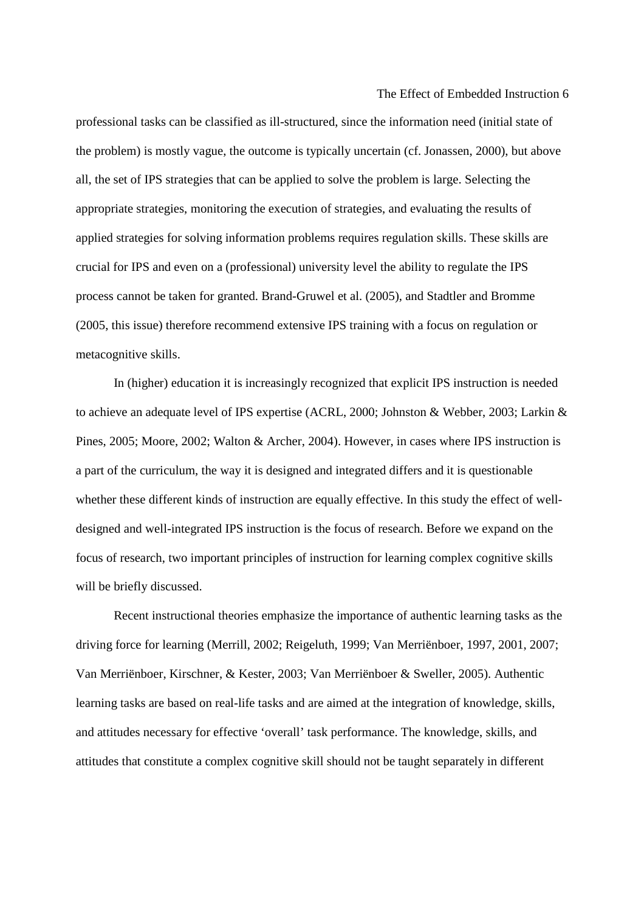professional tasks can be classified as ill-structured, since the information need (initial state of the problem) is mostly vague, the outcome is typically uncertain (cf. Jonassen, 2000), but above all, the set of IPS strategies that can be applied to solve the problem is large. Selecting the appropriate strategies, monitoring the execution of strategies, and evaluating the results of applied strategies for solving information problems requires regulation skills. These skills are crucial for IPS and even on a (professional) university level the ability to regulate the IPS process cannot be taken for granted. Brand-Gruwel et al. (2005), and Stadtler and Bromme (2005, this issue) therefore recommend extensive IPS training with a focus on regulation or metacognitive skills.

In (higher) education it is increasingly recognized that explicit IPS instruction is needed to achieve an adequate level of IPS expertise (ACRL, 2000; Johnston & Webber, 2003; Larkin & Pines, 2005; Moore, 2002; Walton & Archer, 2004). However, in cases where IPS instruction is a part of the curriculum, the way it is designed and integrated differs and it is questionable whether these different kinds of instruction are equally effective. In this study the effect of welldesigned and well-integrated IPS instruction is the focus of research. Before we expand on the focus of research, two important principles of instruction for learning complex cognitive skills will be briefly discussed.

Recent instructional theories emphasize the importance of authentic learning tasks as the driving force for learning (Merrill, 2002; Reigeluth, 1999; Van Merriënboer, 1997, 2001, 2007; Van Merriënboer, Kirschner, & Kester, 2003; Van Merriënboer & Sweller, 2005). Authentic learning tasks are based on real-life tasks and are aimed at the integration of knowledge, skills, and attitudes necessary for effective 'overall' task performance. The knowledge, skills, and attitudes that constitute a complex cognitive skill should not be taught separately in different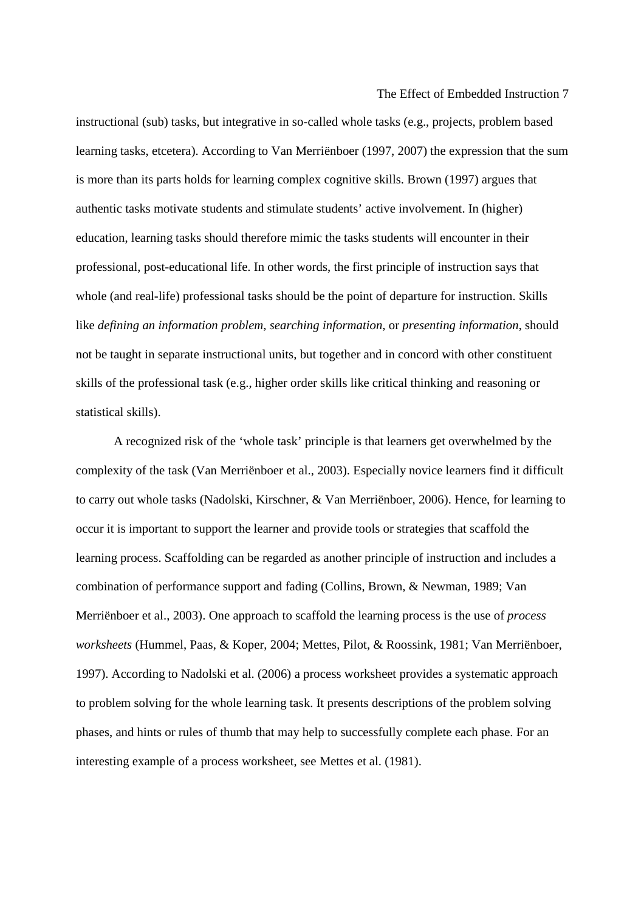instructional (sub) tasks, but integrative in so-called whole tasks (e.g., projects, problem based learning tasks, etcetera). According to Van Merriënboer (1997, 2007) the expression that the sum is more than its parts holds for learning complex cognitive skills. Brown (1997) argues that authentic tasks motivate students and stimulate students' active involvement. In (higher) education, learning tasks should therefore mimic the tasks students will encounter in their professional, post-educational life. In other words, the first principle of instruction says that whole (and real-life) professional tasks should be the point of departure for instruction. Skills like *defining an information problem*, *searching information*, or *presenting information*, should not be taught in separate instructional units, but together and in concord with other constituent skills of the professional task (e.g., higher order skills like critical thinking and reasoning or statistical skills).

A recognized risk of the 'whole task' principle is that learners get overwhelmed by the complexity of the task (Van Merriënboer et al., 2003). Especially novice learners find it difficult to carry out whole tasks (Nadolski, Kirschner, & Van Merriënboer, 2006). Hence, for learning to occur it is important to support the learner and provide tools or strategies that scaffold the learning process. Scaffolding can be regarded as another principle of instruction and includes a combination of performance support and fading (Collins, Brown, & Newman, 1989; Van Merriënboer et al., 2003). One approach to scaffold the learning process is the use of *process worksheets* (Hummel, Paas, & Koper, 2004; Mettes, Pilot, & Roossink, 1981; Van Merriënboer, 1997). According to Nadolski et al. (2006) a process worksheet provides a systematic approach to problem solving for the whole learning task. It presents descriptions of the problem solving phases, and hints or rules of thumb that may help to successfully complete each phase. For an interesting example of a process worksheet, see Mettes et al. (1981).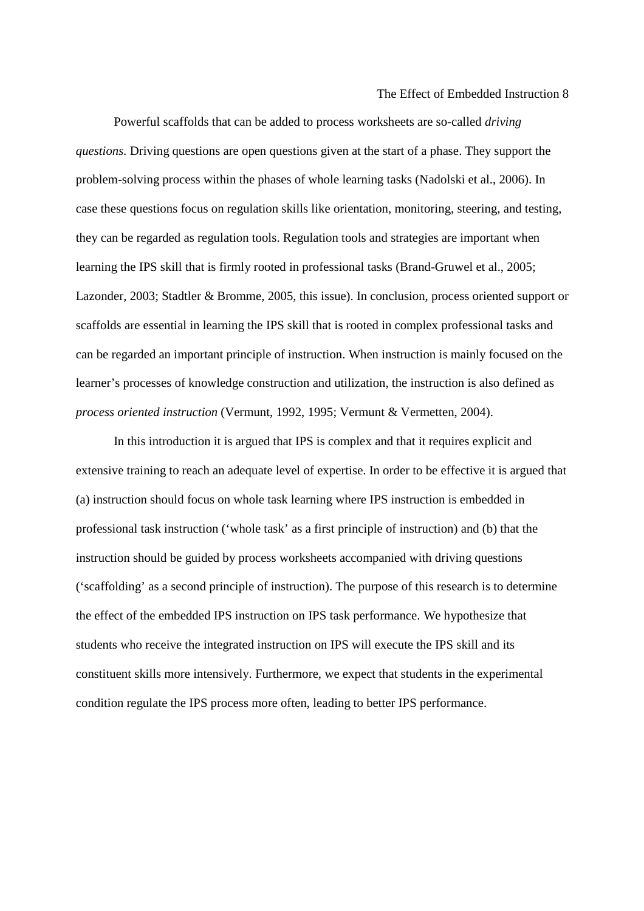Powerful scaffolds that can be added to process worksheets are so-called *driving questions.* Driving questions are open questions given at the start of a phase. They support the problem-solving process within the phases of whole learning tasks (Nadolski et al., 2006). In case these questions focus on regulation skills like orientation, monitoring, steering, and testing, they can be regarded as regulation tools. Regulation tools and strategies are important when learning the IPS skill that is firmly rooted in professional tasks (Brand-Gruwel et al., 2005; Lazonder, 2003; Stadtler & Bromme, 2005, this issue). In conclusion, process oriented support or scaffolds are essential in learning the IPS skill that is rooted in complex professional tasks and can be regarded an important principle of instruction. When instruction is mainly focused on the learner's processes of knowledge construction and utilization, the instruction is also defined as *process oriented instruction* (Vermunt, 1992, 1995; Vermunt & Vermetten, 2004).

In this introduction it is argued that IPS is complex and that it requires explicit and extensive training to reach an adequate level of expertise. In order to be effective it is argued that (a) instruction should focus on whole task learning where IPS instruction is embedded in professional task instruction ('whole task' as a first principle of instruction) and (b) that the instruction should be guided by process worksheets accompanied with driving questions ('scaffolding' as a second principle of instruction). The purpose of this research is to determine the effect of the embedded IPS instruction on IPS task performance. We hypothesize that students who receive the integrated instruction on IPS will execute the IPS skill and its constituent skills more intensively. Furthermore, we expect that students in the experimental condition regulate the IPS process more often, leading to better IPS performance.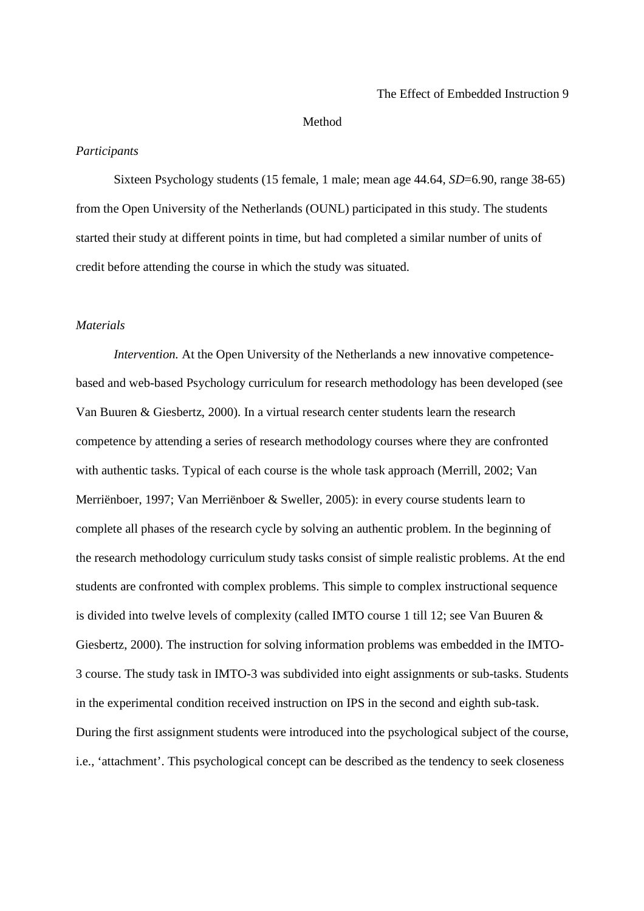#### Method

## *Participants*

 Sixteen Psychology students (15 female, 1 male; mean age 44.64, *SD*=6.90, range 38-65) from the Open University of the Netherlands (OUNL) participated in this study. The students started their study at different points in time, but had completed a similar number of units of credit before attending the course in which the study was situated.

## *Materials*

*Intervention.* At the Open University of the Netherlands a new innovative competencebased and web-based Psychology curriculum for research methodology has been developed (see Van Buuren & Giesbertz, 2000). In a virtual research center students learn the research competence by attending a series of research methodology courses where they are confronted with authentic tasks. Typical of each course is the whole task approach (Merrill, 2002; Van Merriënboer, 1997; Van Merriënboer & Sweller, 2005): in every course students learn to complete all phases of the research cycle by solving an authentic problem. In the beginning of the research methodology curriculum study tasks consist of simple realistic problems. At the end students are confronted with complex problems. This simple to complex instructional sequence is divided into twelve levels of complexity (called IMTO course 1 till 12; see Van Buuren & Giesbertz, 2000). The instruction for solving information problems was embedded in the IMTO-3 course. The study task in IMTO-3 was subdivided into eight assignments or sub-tasks. Students in the experimental condition received instruction on IPS in the second and eighth sub-task. During the first assignment students were introduced into the psychological subject of the course, i.e., 'attachment'. This psychological concept can be described as the tendency to seek closeness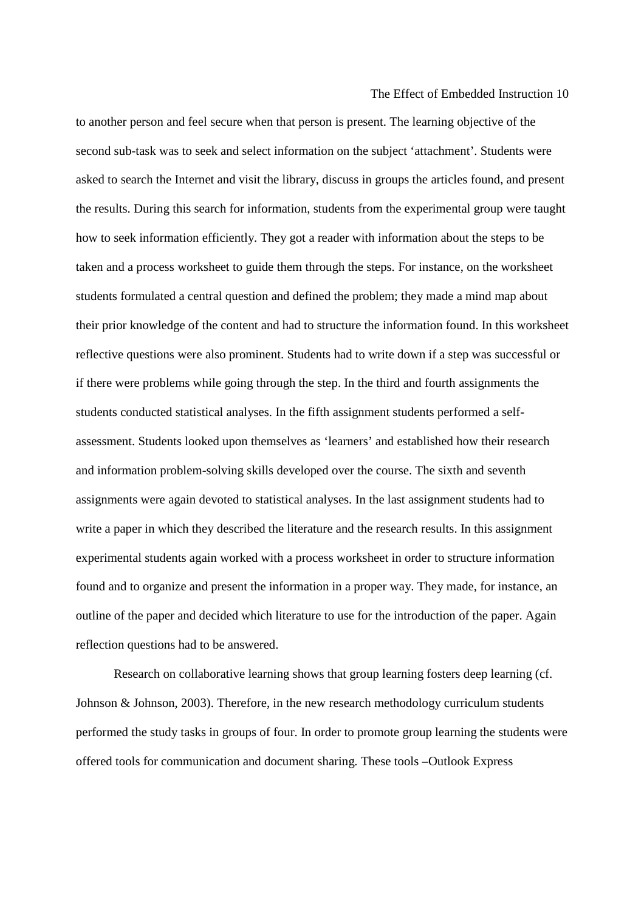to another person and feel secure when that person is present. The learning objective of the second sub-task was to seek and select information on the subject 'attachment'. Students were asked to search the Internet and visit the library, discuss in groups the articles found, and present the results. During this search for information, students from the experimental group were taught how to seek information efficiently. They got a reader with information about the steps to be taken and a process worksheet to guide them through the steps. For instance, on the worksheet students formulated a central question and defined the problem; they made a mind map about their prior knowledge of the content and had to structure the information found. In this worksheet reflective questions were also prominent. Students had to write down if a step was successful or if there were problems while going through the step. In the third and fourth assignments the students conducted statistical analyses. In the fifth assignment students performed a selfassessment. Students looked upon themselves as 'learners' and established how their research and information problem-solving skills developed over the course. The sixth and seventh assignments were again devoted to statistical analyses. In the last assignment students had to write a paper in which they described the literature and the research results. In this assignment experimental students again worked with a process worksheet in order to structure information found and to organize and present the information in a proper way. They made, for instance, an outline of the paper and decided which literature to use for the introduction of the paper. Again reflection questions had to be answered.

Research on collaborative learning shows that group learning fosters deep learning (cf. Johnson & Johnson, 2003). Therefore, in the new research methodology curriculum students performed the study tasks in groups of four. In order to promote group learning the students were offered tools for communication and document sharing. These tools –Outlook Express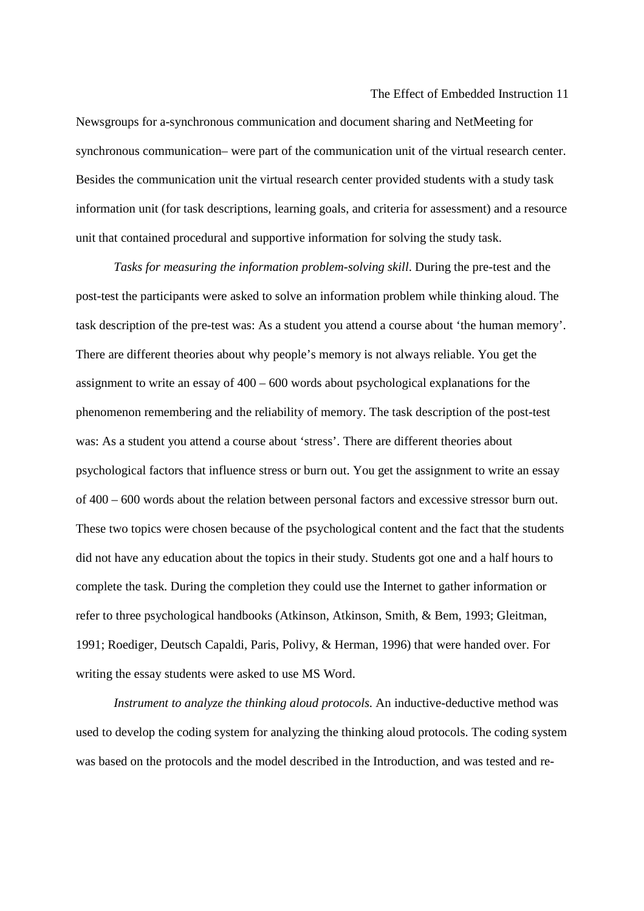Newsgroups for a-synchronous communication and document sharing and NetMeeting for synchronous communication– were part of the communication unit of the virtual research center. Besides the communication unit the virtual research center provided students with a study task information unit (for task descriptions, learning goals, and criteria for assessment) and a resource unit that contained procedural and supportive information for solving the study task.

*Tasks for measuring the information problem-solving skill*. During the pre-test and the post-test the participants were asked to solve an information problem while thinking aloud. The task description of the pre-test was: As a student you attend a course about 'the human memory'. There are different theories about why people's memory is not always reliable. You get the assignment to write an essay of 400 – 600 words about psychological explanations for the phenomenon remembering and the reliability of memory. The task description of the post-test was: As a student you attend a course about 'stress'. There are different theories about psychological factors that influence stress or burn out. You get the assignment to write an essay of 400 – 600 words about the relation between personal factors and excessive stressor burn out. These two topics were chosen because of the psychological content and the fact that the students did not have any education about the topics in their study. Students got one and a half hours to complete the task. During the completion they could use the Internet to gather information or refer to three psychological handbooks (Atkinson, Atkinson, Smith, & Bem, 1993; Gleitman, 1991; Roediger, Deutsch Capaldi, Paris, Polivy, & Herman, 1996) that were handed over. For writing the essay students were asked to use MS Word.

*Instrument to analyze the thinking aloud protocols*. An inductive-deductive method was used to develop the coding system for analyzing the thinking aloud protocols. The coding system was based on the protocols and the model described in the Introduction, and was tested and re-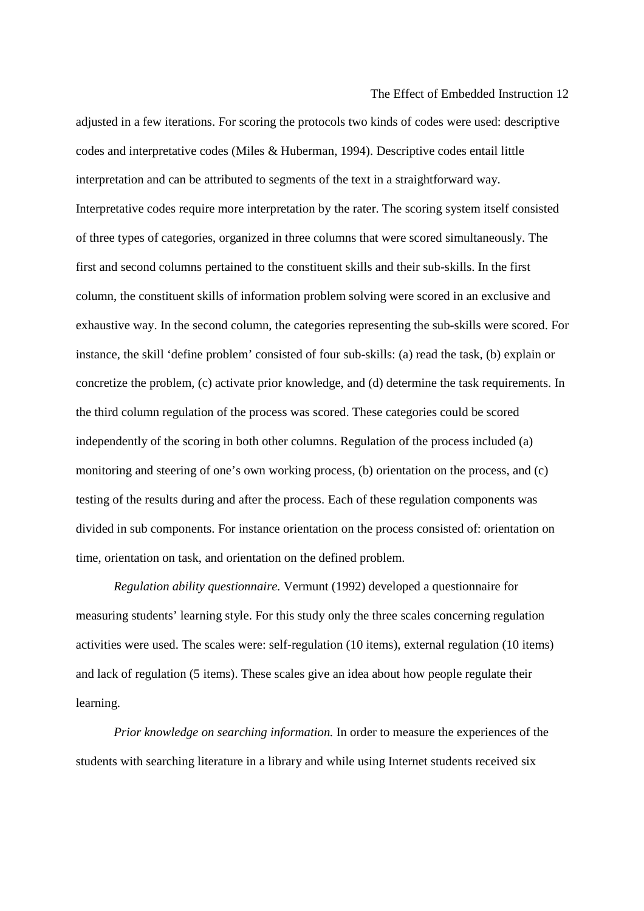adjusted in a few iterations. For scoring the protocols two kinds of codes were used: descriptive codes and interpretative codes (Miles & Huberman, 1994). Descriptive codes entail little interpretation and can be attributed to segments of the text in a straightforward way. Interpretative codes require more interpretation by the rater. The scoring system itself consisted of three types of categories, organized in three columns that were scored simultaneously. The first and second columns pertained to the constituent skills and their sub-skills. In the first column, the constituent skills of information problem solving were scored in an exclusive and exhaustive way. In the second column, the categories representing the sub-skills were scored. For instance, the skill 'define problem' consisted of four sub-skills: (a) read the task, (b) explain or concretize the problem, (c) activate prior knowledge, and (d) determine the task requirements. In the third column regulation of the process was scored. These categories could be scored independently of the scoring in both other columns. Regulation of the process included (a) monitoring and steering of one's own working process, (b) orientation on the process, and (c) testing of the results during and after the process. Each of these regulation components was divided in sub components. For instance orientation on the process consisted of: orientation on time, orientation on task, and orientation on the defined problem.

*Regulation ability questionnaire.* Vermunt (1992) developed a questionnaire for measuring students' learning style. For this study only the three scales concerning regulation activities were used. The scales were: self-regulation (10 items), external regulation (10 items) and lack of regulation (5 items). These scales give an idea about how people regulate their learning.

*Prior knowledge on searching information.* In order to measure the experiences of the students with searching literature in a library and while using Internet students received six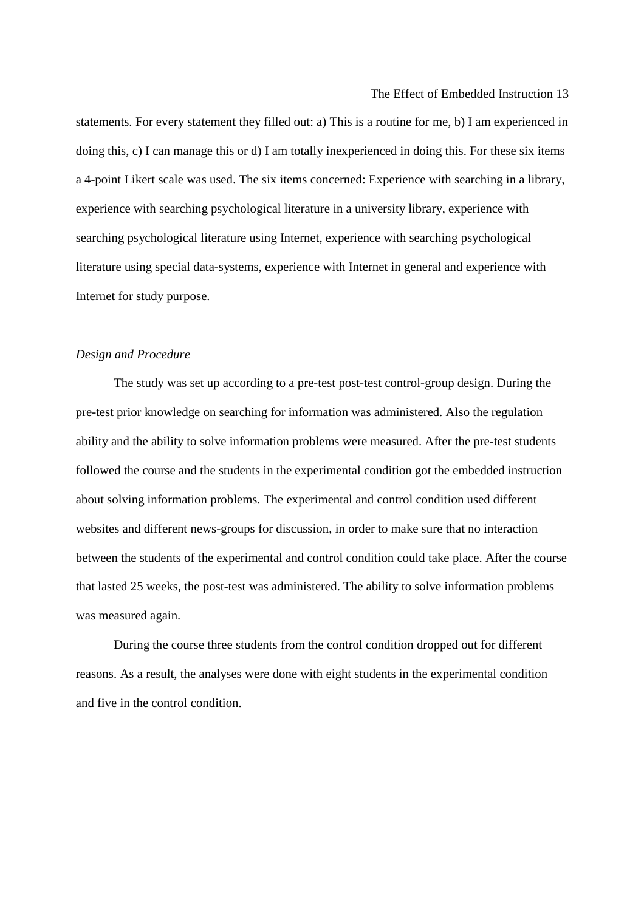statements. For every statement they filled out: a) This is a routine for me, b) I am experienced in doing this, c) I can manage this or d) I am totally inexperienced in doing this. For these six items a 4-point Likert scale was used. The six items concerned: Experience with searching in a library, experience with searching psychological literature in a university library, experience with searching psychological literature using Internet, experience with searching psychological literature using special data-systems, experience with Internet in general and experience with Internet for study purpose.

#### *Design and Procedure*

The study was set up according to a pre-test post-test control-group design. During the pre-test prior knowledge on searching for information was administered. Also the regulation ability and the ability to solve information problems were measured. After the pre-test students followed the course and the students in the experimental condition got the embedded instruction about solving information problems. The experimental and control condition used different websites and different news-groups for discussion, in order to make sure that no interaction between the students of the experimental and control condition could take place. After the course that lasted 25 weeks, the post-test was administered. The ability to solve information problems was measured again.

During the course three students from the control condition dropped out for different reasons. As a result, the analyses were done with eight students in the experimental condition and five in the control condition.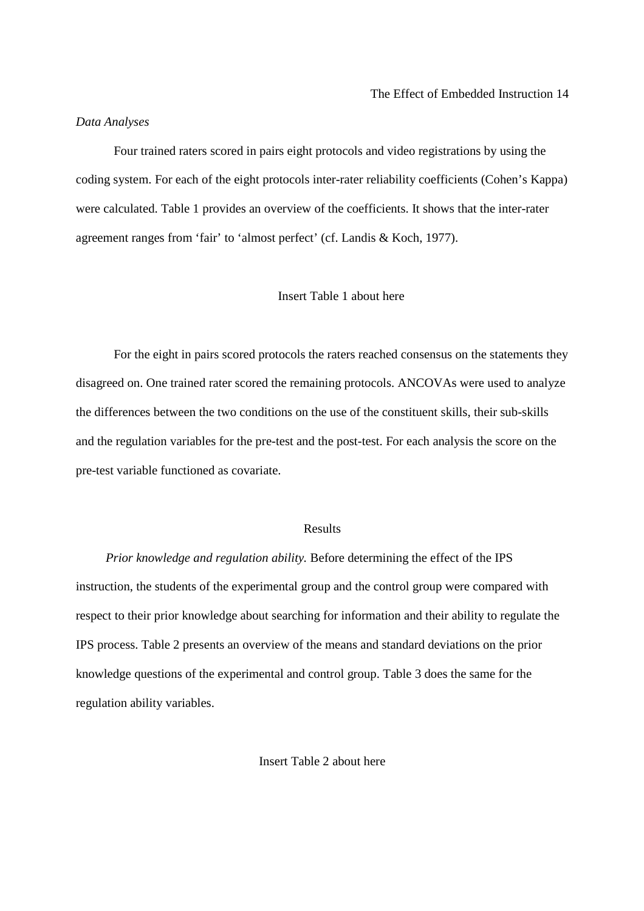#### *Data Analyses*

Four trained raters scored in pairs eight protocols and video registrations by using the coding system. For each of the eight protocols inter-rater reliability coefficients (Cohen's Kappa) were calculated. Table 1 provides an overview of the coefficients. It shows that the inter-rater agreement ranges from 'fair' to 'almost perfect' (cf. Landis & Koch, 1977).

## Insert Table 1 about here

For the eight in pairs scored protocols the raters reached consensus on the statements they disagreed on. One trained rater scored the remaining protocols. ANCOVAs were used to analyze the differences between the two conditions on the use of the constituent skills, their sub-skills and the regulation variables for the pre-test and the post-test. For each analysis the score on the pre-test variable functioned as covariate.

#### Results

*Prior knowledge and regulation ability.* Before determining the effect of the IPS instruction, the students of the experimental group and the control group were compared with respect to their prior knowledge about searching for information and their ability to regulate the IPS process. Table 2 presents an overview of the means and standard deviations on the prior knowledge questions of the experimental and control group. Table 3 does the same for the regulation ability variables.

Insert Table 2 about here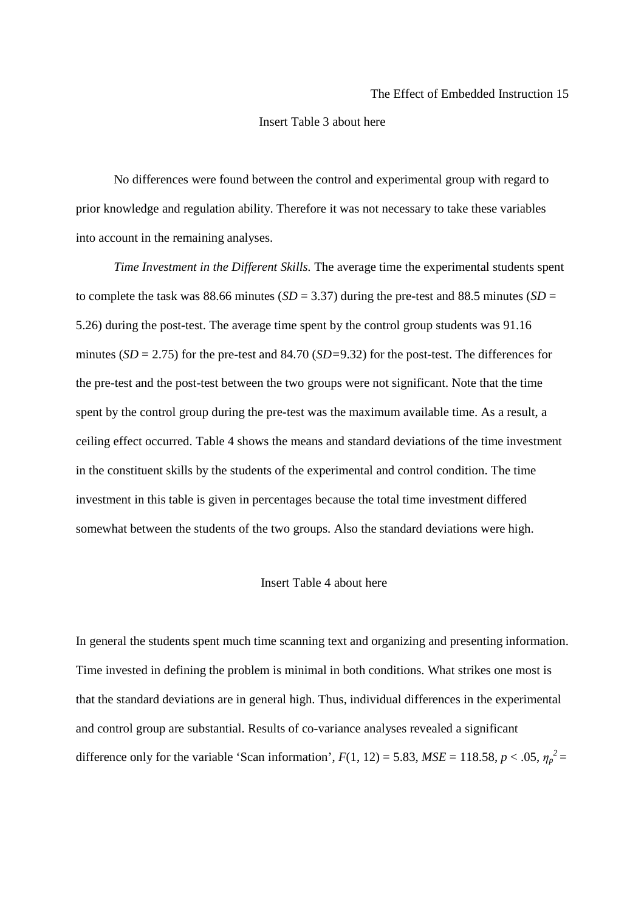#### Insert Table 3 about here

No differences were found between the control and experimental group with regard to prior knowledge and regulation ability. Therefore it was not necessary to take these variables into account in the remaining analyses.

*Time Investment in the Different Skills.* The average time the experimental students spent to complete the task was 88.66 minutes ( $SD = 3.37$ ) during the pre-test and 88.5 minutes ( $SD =$ 5.26) during the post-test. The average time spent by the control group students was 91.16 minutes (*SD* = 2.75) for the pre-test and 84.70 (*SD=*9.32) for the post-test. The differences for the pre-test and the post-test between the two groups were not significant. Note that the time spent by the control group during the pre-test was the maximum available time. As a result, a ceiling effect occurred. Table 4 shows the means and standard deviations of the time investment in the constituent skills by the students of the experimental and control condition. The time investment in this table is given in percentages because the total time investment differed somewhat between the students of the two groups. Also the standard deviations were high.

#### Insert Table 4 about here

In general the students spent much time scanning text and organizing and presenting information. Time invested in defining the problem is minimal in both conditions. What strikes one most is that the standard deviations are in general high. Thus, individual differences in the experimental and control group are substantial. Results of co-variance analyses revealed a significant difference only for the variable 'Scan information',  $F(1, 12) = 5.83$ ,  $MSE = 118.58$ ,  $p < .05$ ,  $\eta_p^2 =$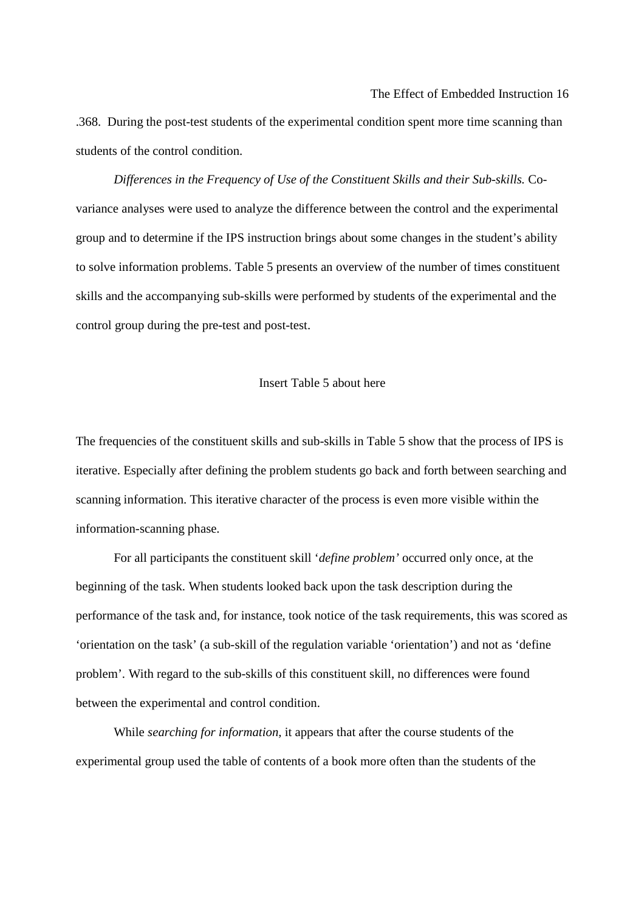.368. During the post-test students of the experimental condition spent more time scanning than students of the control condition.

*Differences in the Frequency of Use of the Constituent Skills and their Sub-skills.* Covariance analyses were used to analyze the difference between the control and the experimental group and to determine if the IPS instruction brings about some changes in the student's ability to solve information problems. Table 5 presents an overview of the number of times constituent skills and the accompanying sub-skills were performed by students of the experimental and the control group during the pre-test and post-test.

## Insert Table 5 about here

The frequencies of the constituent skills and sub-skills in Table 5 show that the process of IPS is iterative. Especially after defining the problem students go back and forth between searching and scanning information. This iterative character of the process is even more visible within the information-scanning phase.

For all participants the constituent skill '*define problem'* occurred only once, at the beginning of the task. When students looked back upon the task description during the performance of the task and, for instance, took notice of the task requirements, this was scored as 'orientation on the task' (a sub-skill of the regulation variable 'orientation') and not as 'define problem'. With regard to the sub-skills of this constituent skill, no differences were found between the experimental and control condition.

While *searching for information,* it appears that after the course students of the experimental group used the table of contents of a book more often than the students of the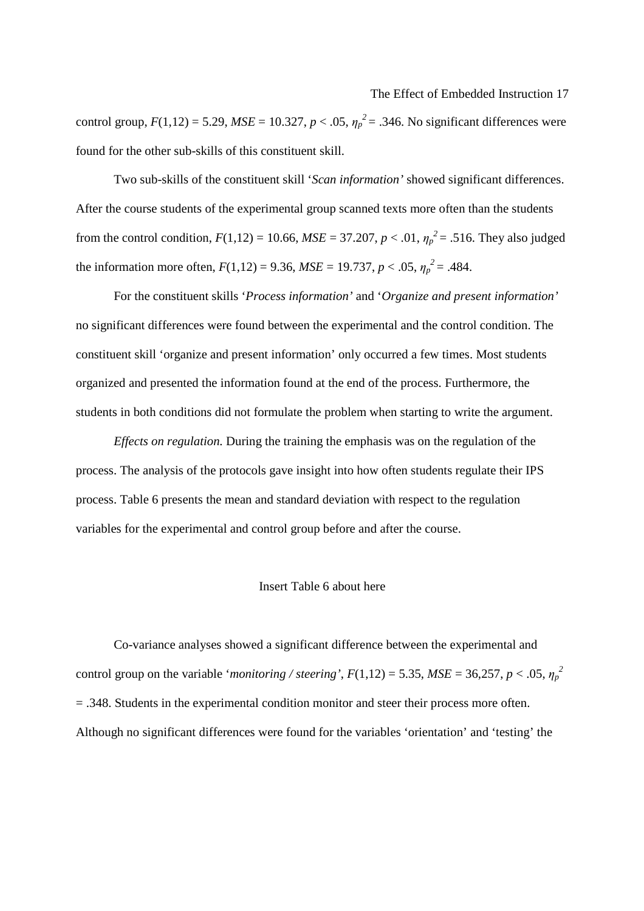control group,  $F(1,12) = 5.29$ ,  $MSE = 10.327$ ,  $p < .05$ ,  $\eta_p^2 = .346$ . No significant differences were found for the other sub-skills of this constituent skill.

Two sub-skills of the constituent skill '*Scan information'* showed significant differences. After the course students of the experimental group scanned texts more often than the students from the control condition,  $F(1,12) = 10.66$ ,  $MSE = 37.207$ ,  $p < .01$ ,  $\eta_p^2 = .516$ . They also judged the information more often,  $F(1,12) = 9.36$ ,  $MSE = 19.737$ ,  $p < .05$ ,  $\eta_p^2 = .484$ .

For the constituent skills '*Process information'* and '*Organize and present information'* no significant differences were found between the experimental and the control condition. The constituent skill 'organize and present information' only occurred a few times. Most students organized and presented the information found at the end of the process. Furthermore, the students in both conditions did not formulate the problem when starting to write the argument.

*Effects on regulation.* During the training the emphasis was on the regulation of the process. The analysis of the protocols gave insight into how often students regulate their IPS process. Table 6 presents the mean and standard deviation with respect to the regulation variables for the experimental and control group before and after the course.

## Insert Table 6 about here

Co-variance analyses showed a significant difference between the experimental and control group on the variable '*monitoring / steering*',  $F(1,12) = 5.35$ ,  $MSE = 36,257$ ,  $p < .05$ ,  $\eta_p^2$ = .348. Students in the experimental condition monitor and steer their process more often. Although no significant differences were found for the variables 'orientation' and 'testing' the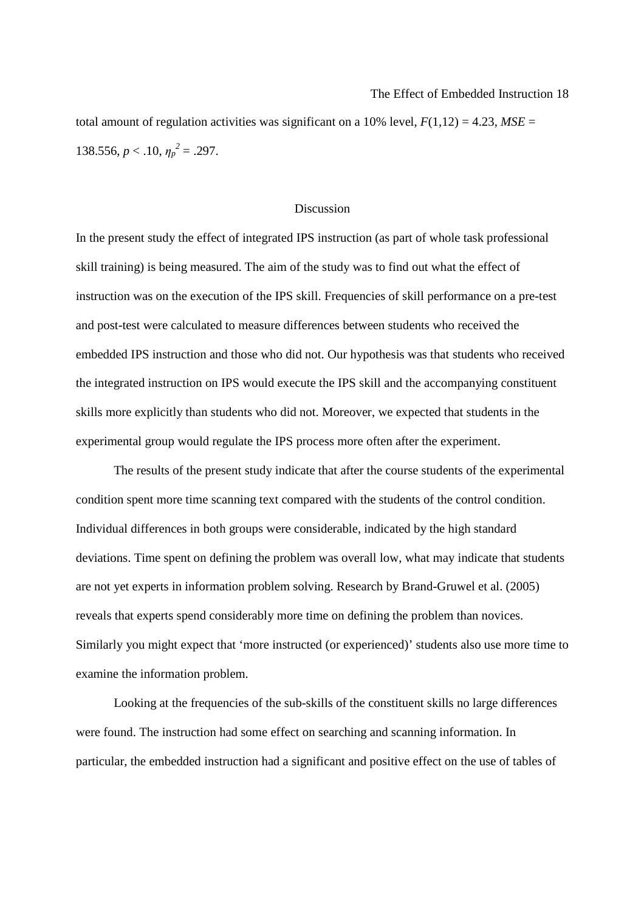total amount of regulation activities was significant on a 10% level,  $F(1,12) = 4.23$ ,  $MSE =$ 138.556,  $p < .10$ ,  $\eta_p^2 = .297$ .

## Discussion

In the present study the effect of integrated IPS instruction (as part of whole task professional skill training) is being measured. The aim of the study was to find out what the effect of instruction was on the execution of the IPS skill. Frequencies of skill performance on a pre-test and post-test were calculated to measure differences between students who received the embedded IPS instruction and those who did not. Our hypothesis was that students who received the integrated instruction on IPS would execute the IPS skill and the accompanying constituent skills more explicitly than students who did not. Moreover, we expected that students in the experimental group would regulate the IPS process more often after the experiment.

The results of the present study indicate that after the course students of the experimental condition spent more time scanning text compared with the students of the control condition. Individual differences in both groups were considerable, indicated by the high standard deviations. Time spent on defining the problem was overall low, what may indicate that students are not yet experts in information problem solving. Research by Brand-Gruwel et al. (2005) reveals that experts spend considerably more time on defining the problem than novices. Similarly you might expect that 'more instructed (or experienced)' students also use more time to examine the information problem.

Looking at the frequencies of the sub-skills of the constituent skills no large differences were found. The instruction had some effect on searching and scanning information. In particular, the embedded instruction had a significant and positive effect on the use of tables of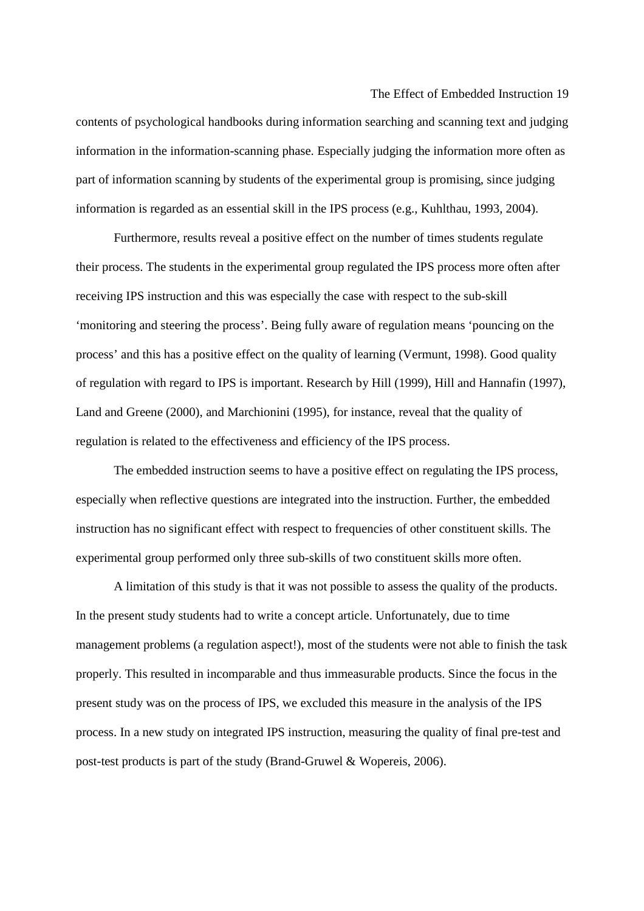contents of psychological handbooks during information searching and scanning text and judging information in the information-scanning phase. Especially judging the information more often as part of information scanning by students of the experimental group is promising, since judging information is regarded as an essential skill in the IPS process (e.g., Kuhlthau, 1993, 2004).

The Effect of Embedded Instruction 19

Furthermore, results reveal a positive effect on the number of times students regulate their process. The students in the experimental group regulated the IPS process more often after receiving IPS instruction and this was especially the case with respect to the sub-skill 'monitoring and steering the process'. Being fully aware of regulation means 'pouncing on the process' and this has a positive effect on the quality of learning (Vermunt, 1998). Good quality of regulation with regard to IPS is important. Research by Hill (1999), Hill and Hannafin (1997), Land and Greene (2000), and Marchionini (1995), for instance, reveal that the quality of regulation is related to the effectiveness and efficiency of the IPS process.

The embedded instruction seems to have a positive effect on regulating the IPS process, especially when reflective questions are integrated into the instruction. Further, the embedded instruction has no significant effect with respect to frequencies of other constituent skills. The experimental group performed only three sub-skills of two constituent skills more often.

A limitation of this study is that it was not possible to assess the quality of the products. In the present study students had to write a concept article. Unfortunately, due to time management problems (a regulation aspect!), most of the students were not able to finish the task properly. This resulted in incomparable and thus immeasurable products. Since the focus in the present study was on the process of IPS, we excluded this measure in the analysis of the IPS process. In a new study on integrated IPS instruction, measuring the quality of final pre-test and post-test products is part of the study (Brand-Gruwel & Wopereis, 2006).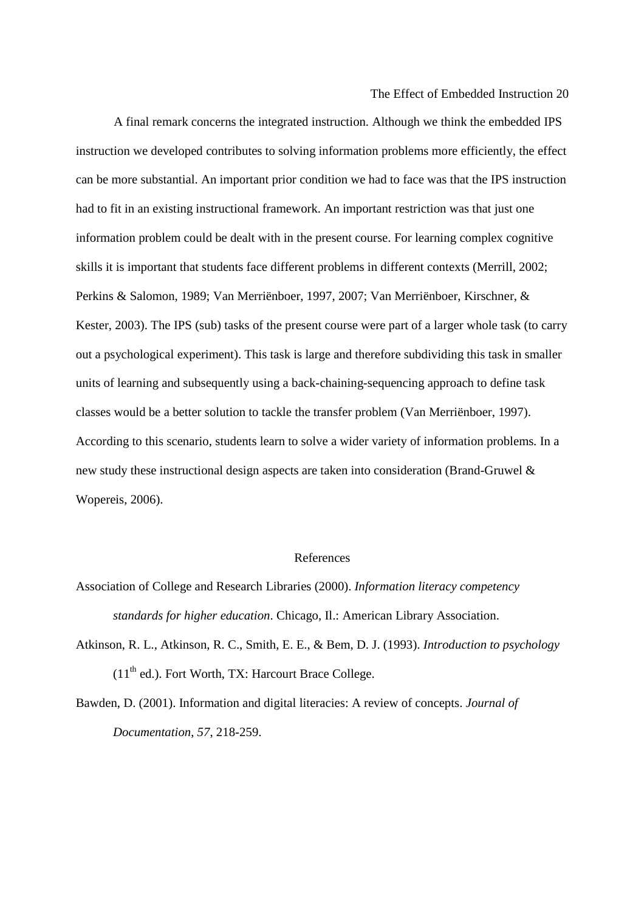A final remark concerns the integrated instruction. Although we think the embedded IPS instruction we developed contributes to solving information problems more efficiently, the effect can be more substantial. An important prior condition we had to face was that the IPS instruction had to fit in an existing instructional framework. An important restriction was that just one information problem could be dealt with in the present course. For learning complex cognitive skills it is important that students face different problems in different contexts (Merrill, 2002; Perkins & Salomon, 1989; Van Merriënboer, 1997, 2007; Van Merriënboer, Kirschner, & Kester, 2003). The IPS (sub) tasks of the present course were part of a larger whole task (to carry out a psychological experiment). This task is large and therefore subdividing this task in smaller units of learning and subsequently using a back-chaining-sequencing approach to define task classes would be a better solution to tackle the transfer problem (Van Merriënboer, 1997). According to this scenario, students learn to solve a wider variety of information problems. In a new study these instructional design aspects are taken into consideration (Brand-Gruwel & Wopereis, 2006).

#### References

- Association of College and Research Libraries (2000). *Information literacy competency standards for higher education*. Chicago, Il.: American Library Association.
- Atkinson, R. L., Atkinson, R. C., Smith, E. E., & Bem, D. J. (1993). *Introduction to psychology*   $(11<sup>th</sup>$  ed.). Fort Worth, TX: Harcourt Brace College.
- Bawden, D. (2001). Information and digital literacies: A review of concepts. *Journal of Documentation*, *57*, 218-259.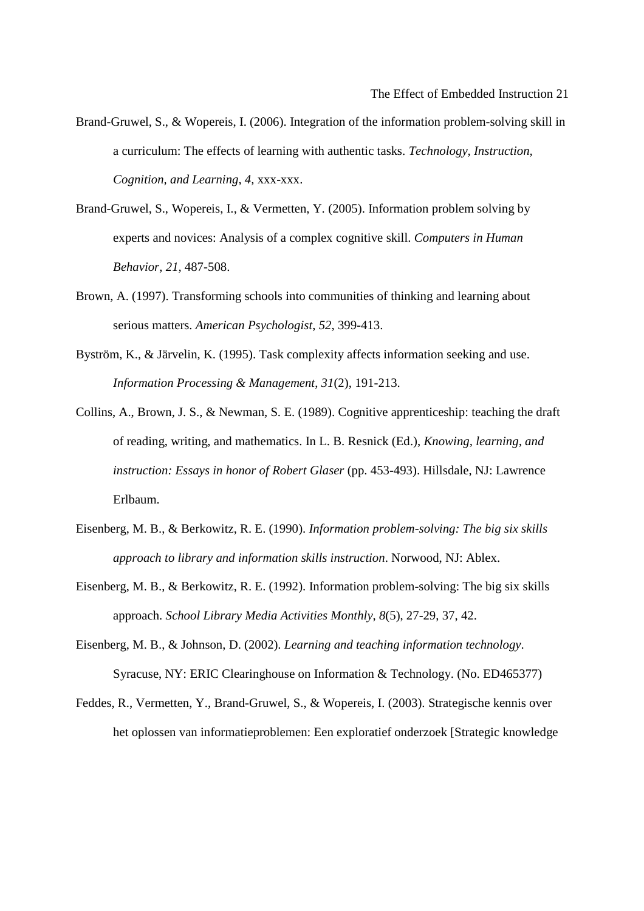- Brand-Gruwel, S., & Wopereis, I. (2006). Integration of the information problem-solving skill in a curriculum: The effects of learning with authentic tasks. *Technology, Instruction, Cognition, and Learning*, *4,* xxx-xxx.
- Brand-Gruwel, S., Wopereis, I., & Vermetten, Y. (2005). Information problem solving by experts and novices: Analysis of a complex cognitive skill. *Computers in Human Behavior, 21,* 487-508.
- Brown, A. (1997). Transforming schools into communities of thinking and learning about serious matters. *American Psychologist*, *52*, 399-413.
- Byström, K., & Järvelin, K. (1995). Task complexity affects information seeking and use. *Information Processing & Management*, *31*(2), 191-213.
- Collins, A., Brown, J. S., & Newman, S. E. (1989). Cognitive apprenticeship: teaching the draft of reading, writing, and mathematics. In L. B. Resnick (Ed.), *Knowing, learning, and instruction: Essays in honor of Robert Glaser* (pp. 453-493). Hillsdale, NJ: Lawrence Erlbaum.
- Eisenberg, M. B., & Berkowitz, R. E. (1990). *Information problem-solving: The big six skills approach to library and information skills instruction*. Norwood, NJ: Ablex.
- Eisenberg, M. B., & Berkowitz, R. E. (1992). Information problem-solving: The big six skills approach. *School Library Media Activities Monthly*, *8*(5), 27-29, 37, 42.
- Eisenberg, M. B., & Johnson, D. (2002). *Learning and teaching information technology*. Syracuse, NY: ERIC Clearinghouse on Information & Technology. (No. ED465377)
- Feddes, R., Vermetten, Y., Brand-Gruwel, S., & Wopereis, I. (2003). Strategische kennis over het oplossen van informatieproblemen: Een exploratief onderzoek [Strategic knowledge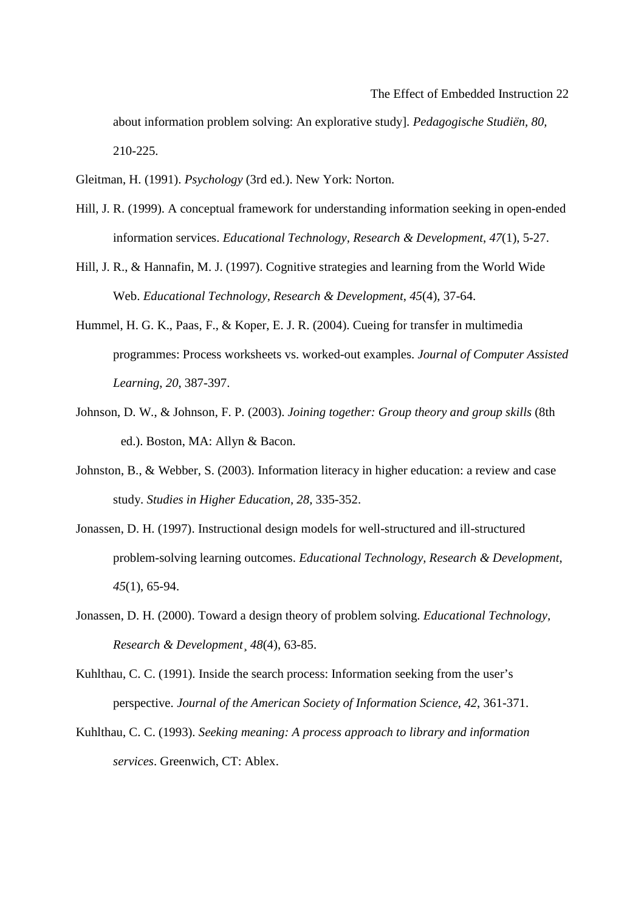about information problem solving: An explorative study]. *Pedagogische Studiën, 80,*  210-225.

Gleitman, H. (1991). *Psychology* (3rd ed.). New York: Norton.

- Hill, J. R. (1999). A conceptual framework for understanding information seeking in open-ended information services. *Educational Technology, Research & Development*, *47*(1), 5-27.
- Hill, J. R., & Hannafin, M. J. (1997). Cognitive strategies and learning from the World Wide Web. *Educational Technology, Research & Development*, *45*(4), 37-64.
- Hummel, H. G. K., Paas, F., & Koper, E. J. R. (2004). Cueing for transfer in multimedia programmes: Process worksheets vs. worked-out examples. *Journal of Computer Assisted Learning*, *20*, 387-397.
- Johnson, D. W., & Johnson, F. P. (2003). *Joining together: Group theory and group skills* (8th ed.). Boston, MA: Allyn & Bacon.
- Johnston, B., & Webber, S. (2003). Information literacy in higher education: a review and case study. *Studies in Higher Education, 28,* 335-352.
- Jonassen, D. H. (1997). Instructional design models for well-structured and ill-structured problem-solving learning outcomes. *Educational Technology, Research & Development*, *45*(1), 65-94.
- Jonassen, D. H. (2000). Toward a design theory of problem solving. *Educational Technology, Research & Development*¸ *48*(4), 63-85.
- Kuhlthau, C. C. (1991). Inside the search process: Information seeking from the user's perspective. *Journal of the American Society of Information Science*, *42*, 361-371.
- Kuhlthau, C. C. (1993). *Seeking meaning: A process approach to library and information services*. Greenwich, CT: Ablex.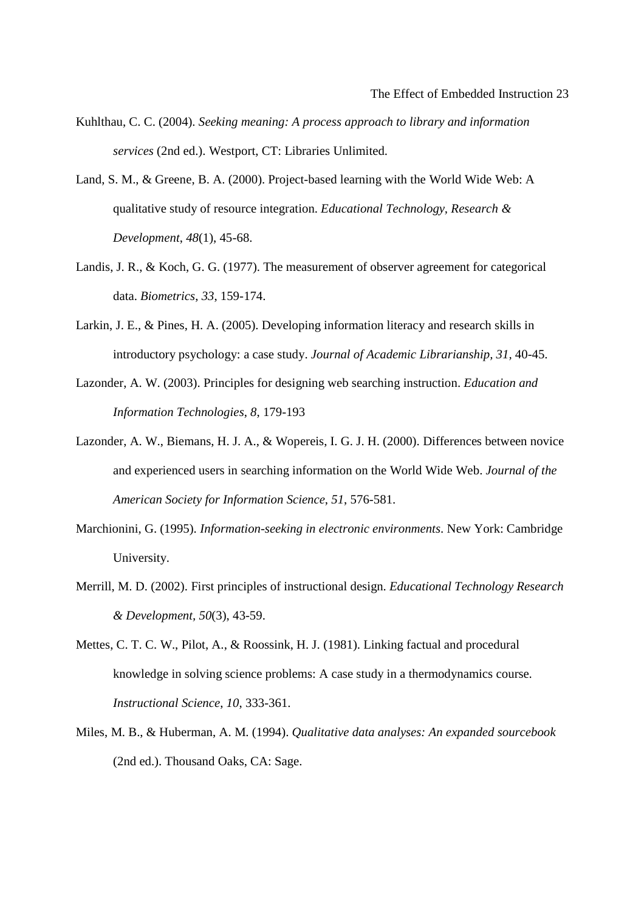- Kuhlthau, C. C. (2004). *Seeking meaning: A process approach to library and information services* (2nd ed.). Westport, CT: Libraries Unlimited.
- Land, S. M., & Greene, B. A. (2000). Project-based learning with the World Wide Web: A qualitative study of resource integration. *Educational Technology, Research & Development*, *48*(1), 45-68.
- Landis, J. R., & Koch, G. G. (1977). The measurement of observer agreement for categorical data. *Biometrics*, *33*, 159-174.
- Larkin, J. E., & Pines, H. A. (2005). Developing information literacy and research skills in introductory psychology: a case study. *Journal of Academic Librarianship, 31,* 40-45.
- Lazonder, A. W. (2003). Principles for designing web searching instruction. *Education and Information Technologies*, *8*, 179-193
- Lazonder, A. W., Biemans, H. J. A., & Wopereis, I. G. J. H. (2000). Differences between novice and experienced users in searching information on the World Wide Web. *Journal of the American Society for Information Science*, *51*, 576-581.
- Marchionini, G. (1995). *Information-seeking in electronic environments*. New York: Cambridge University.
- Merrill, M. D. (2002). First principles of instructional design. *Educational Technology Research & Development, 50*(3), 43-59.
- Mettes, C. T. C. W., Pilot, A., & Roossink, H. J. (1981). Linking factual and procedural knowledge in solving science problems: A case study in a thermodynamics course. *Instructional Science*, *10*, 333-361.
- Miles, M. B., & Huberman, A. M. (1994). *Qualitative data analyses: An expanded sourcebook*  (2nd ed.). Thousand Oaks, CA: Sage.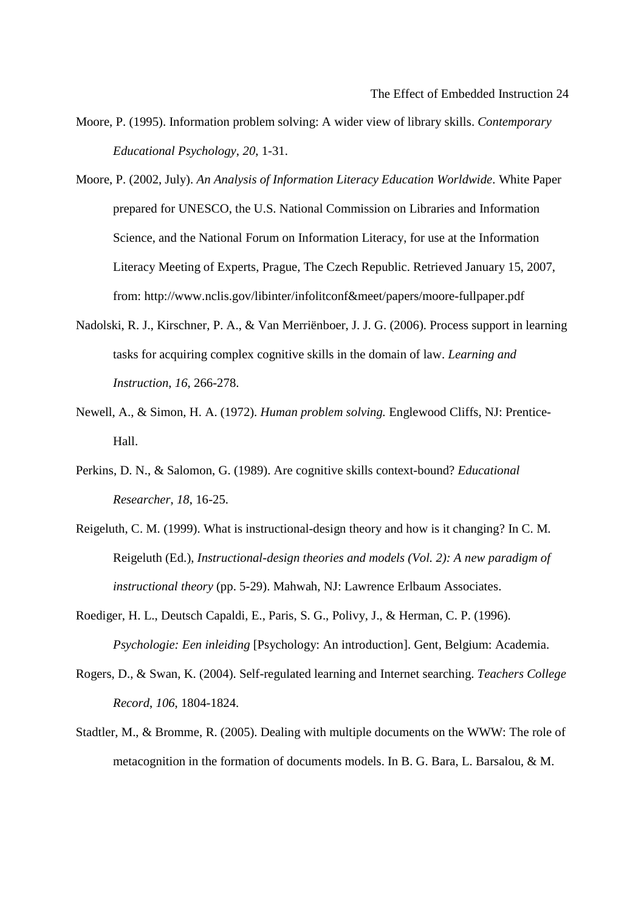- Moore, P. (1995). Information problem solving: A wider view of library skills. *Contemporary Educational Psychology*, *20*, 1-31.
- Moore, P. (2002, July). *An Analysis of Information Literacy Education Worldwide*. White Paper prepared for UNESCO, the U.S. National Commission on Libraries and Information Science, and the National Forum on Information Literacy, for use at the Information Literacy Meeting of Experts, Prague, The Czech Republic. Retrieved January 15, 2007, from: http://www.nclis.gov/libinter/infolitconf&meet/papers/moore-fullpaper.pdf
- Nadolski, R. J., Kirschner, P. A., & Van Merriënboer, J. J. G. (2006). Process support in learning tasks for acquiring complex cognitive skills in the domain of law. *Learning and Instruction*, *16*, 266-278.
- Newell, A., & Simon, H. A. (1972). *Human problem solving.* Englewood Cliffs, NJ: Prentice-Hall.
- Perkins, D. N., & Salomon, G. (1989). Are cognitive skills context-bound? *Educational Researcher*, *18*, 16-25.
- Reigeluth, C. M. (1999). What is instructional-design theory and how is it changing? In C. M. Reigeluth (Ed.), *Instructional-design theories and models (Vol. 2): A new paradigm of instructional theory* (pp. 5-29). Mahwah, NJ: Lawrence Erlbaum Associates.
- Roediger, H. L., Deutsch Capaldi, E., Paris, S. G., Polivy, J., & Herman, C. P. (1996). *Psychologie: Een inleiding* [Psychology: An introduction]. Gent, Belgium: Academia.
- Rogers, D., & Swan, K. (2004). Self-regulated learning and Internet searching. *Teachers College Record*, *106*, 1804-1824.
- Stadtler, M., & Bromme, R. (2005). Dealing with multiple documents on the WWW: The role of metacognition in the formation of documents models. In B. G. Bara, L. Barsalou, & M.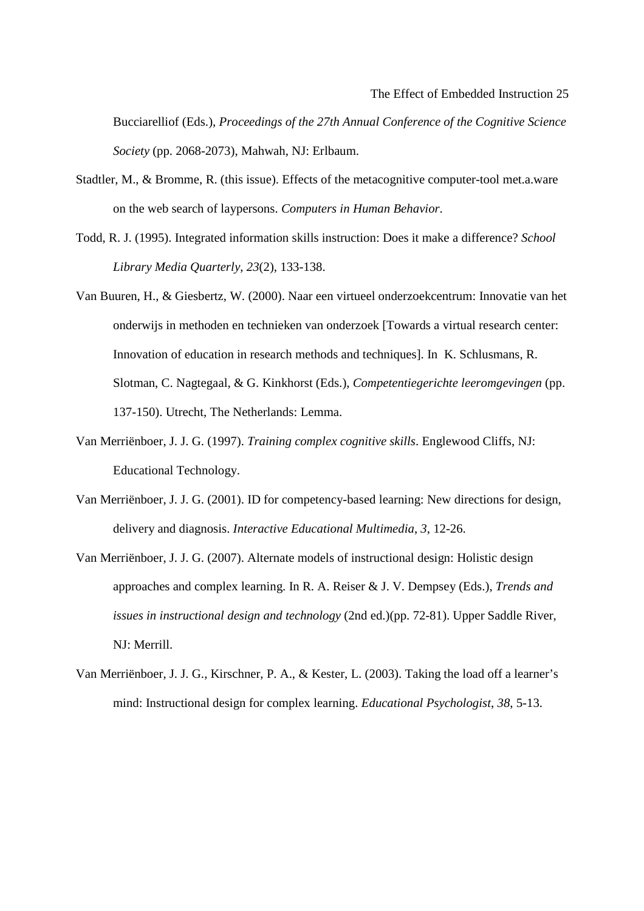Bucciarelliof (Eds.), *Proceedings of the 27th Annual Conference of the Cognitive Science Society* (pp. 2068-2073), Mahwah, NJ: Erlbaum.

- Stadtler, M., & Bromme, R. (this issue). Effects of the metacognitive computer-tool met.a.ware on the web search of laypersons. *Computers in Human Behavior*.
- Todd, R. J. (1995). Integrated information skills instruction: Does it make a difference? *School Library Media Quarterly*, *23*(2), 133-138.
- Van Buuren, H., & Giesbertz, W. (2000). Naar een virtueel onderzoekcentrum: Innovatie van het onderwijs in methoden en technieken van onderzoek [Towards a virtual research center: Innovation of education in research methods and techniques]. In K. Schlusmans, R. Slotman, C. Nagtegaal, & G. Kinkhorst (Eds.), *Competentiegerichte leeromgevingen* (pp. 137-150). Utrecht, The Netherlands: Lemma.
- Van Merriënboer, J. J. G. (1997). *Training complex cognitive skills*. Englewood Cliffs, NJ: Educational Technology.
- Van Merriënboer, J. J. G. (2001). ID for competency-based learning: New directions for design, delivery and diagnosis. *Interactive Educational Multimedia*, *3*, 12-26.
- Van Merriënboer, J. J. G. (2007). Alternate models of instructional design: Holistic design approaches and complex learning. In R. A. Reiser & J. V. Dempsey (Eds.), *Trends and issues in instructional design and technology* (2nd ed.)(pp. 72-81). Upper Saddle River, NJ: Merrill.
- Van Merriënboer, J. J. G., Kirschner, P. A., & Kester, L. (2003). Taking the load off a learner's mind: Instructional design for complex learning. *Educational Psychologist*, *38*, 5-13.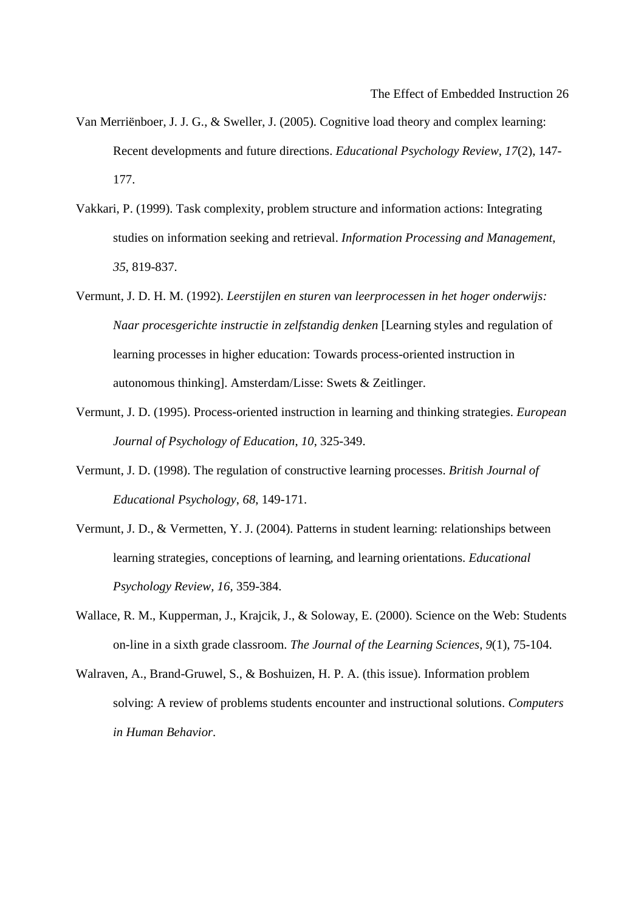- Van Merriënboer, J. J. G., & Sweller, J. (2005). Cognitive load theory and complex learning: Recent developments and future directions. *Educational Psychology Review*, *17*(2), 147- 177.
- Vakkari, P. (1999). Task complexity, problem structure and information actions: Integrating studies on information seeking and retrieval. *Information Processing and Management*, *35*, 819-837.
- Vermunt, J. D. H. M. (1992). *Leerstijlen en sturen van leerprocessen in het hoger onderwijs: Naar procesgerichte instructie in zelfstandig denken* [Learning styles and regulation of learning processes in higher education: Towards process-oriented instruction in autonomous thinking]. Amsterdam/Lisse: Swets & Zeitlinger.
- Vermunt, J. D. (1995). Process-oriented instruction in learning and thinking strategies. *European Journal of Psychology of Education*, *10*, 325-349.
- Vermunt, J. D. (1998). The regulation of constructive learning processes. *British Journal of Educational Psychology*, *68*, 149-171.
- Vermunt, J. D., & Vermetten, Y. J. (2004). Patterns in student learning: relationships between learning strategies, conceptions of learning, and learning orientations. *Educational Psychology Review, 16,* 359-384.
- Wallace, R. M., Kupperman, J., Krajcik, J., & Soloway, E. (2000). Science on the Web: Students on-line in a sixth grade classroom. *The Journal of the Learning Sciences*, *9*(1), 75-104.
- Walraven, A., Brand-Gruwel, S., & Boshuizen, H. P. A. (this issue). Information problem solving: A review of problems students encounter and instructional solutions. *Computers in Human Behavior*.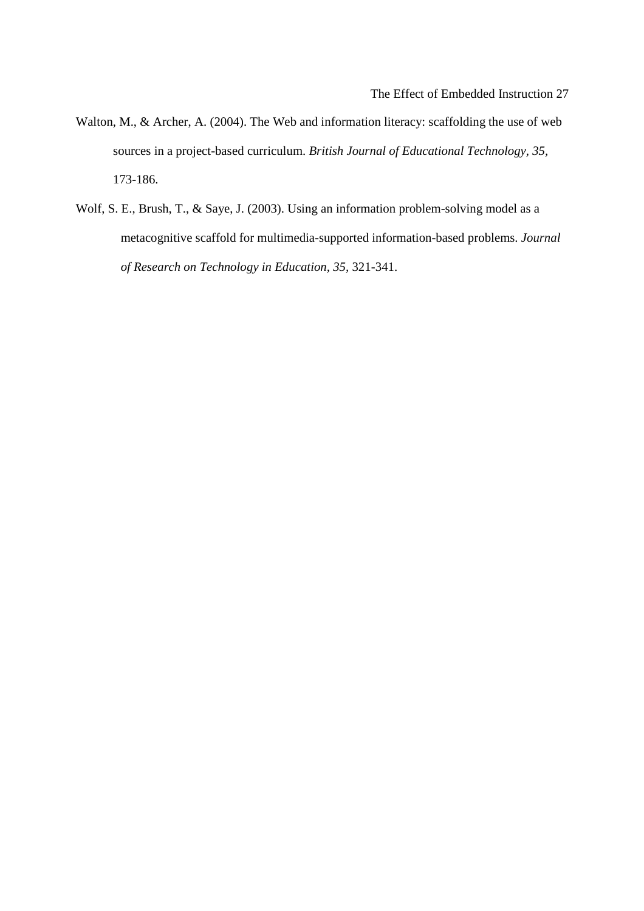- Walton, M., & Archer, A. (2004). The Web and information literacy: scaffolding the use of web sources in a project-based curriculum. *British Journal of Educational Technology, 35,*  173-186.
- Wolf, S. E., Brush, T., & Saye, J. (2003). Using an information problem-solving model as a metacognitive scaffold for multimedia-supported information-based problems. *Journal of Research on Technology in Education, 35,* 321-341.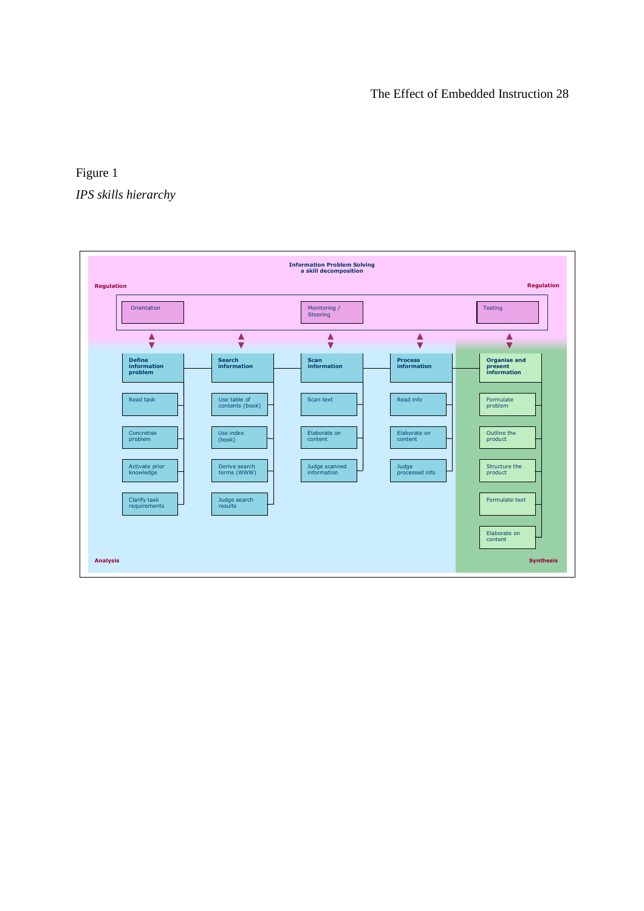# Figure 1 *IPS skills hierarchy*

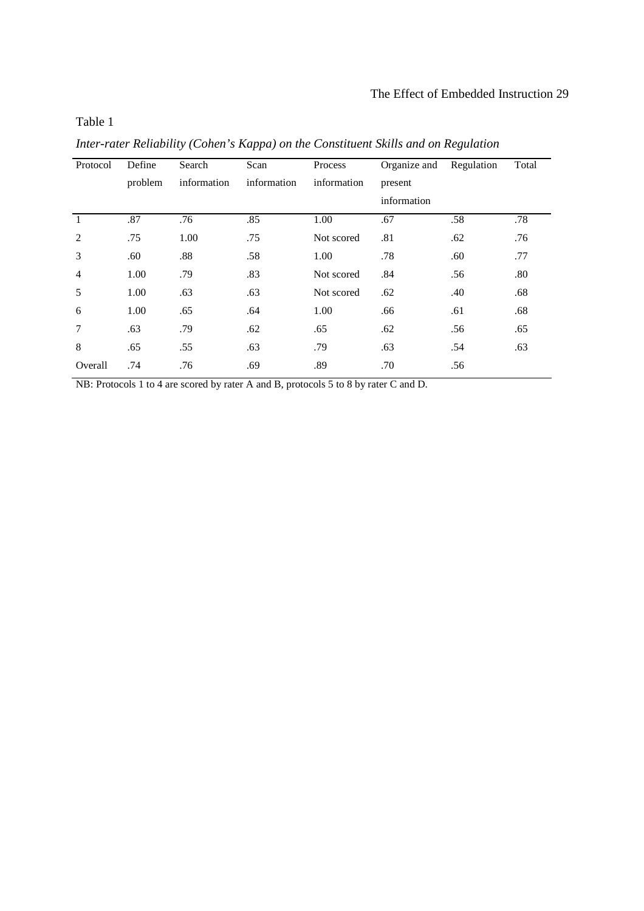## Table 1

| Protocol       | Define  | Search      | Scan        | Process     | Organize and | Regulation | Total |
|----------------|---------|-------------|-------------|-------------|--------------|------------|-------|
|                | problem | information | information | information | present      |            |       |
|                |         |             |             |             | information  |            |       |
| $\overline{1}$ | .87     | .76         | .85         | 1.00        | .67          | .58        | .78   |
| 2              | .75     | 1.00        | .75         | Not scored  | .81          | .62        | .76   |
| 3              | .60     | .88         | .58         | 1.00        | .78          | .60        | .77   |
| $\overline{4}$ | 1.00    | .79         | .83         | Not scored  | .84          | .56        | .80   |
| 5              | 1.00    | .63         | .63         | Not scored  | .62          | .40        | .68   |
| 6              | 1.00    | .65         | .64         | 1.00        | .66          | .61        | .68   |
| $\overline{7}$ | .63     | .79         | .62         | .65         | .62          | .56        | .65   |
| 8              | .65     | .55         | .63         | .79         | .63          | .54        | .63   |
| Overall        | .74     | .76         | .69         | .89         | .70          | .56        |       |
|                |         |             |             |             |              |            |       |

*Inter-rater Reliability (Cohen's Kappa) on the Constituent Skills and on Regulation* 

NB: Protocols 1 to 4 are scored by rater A and B, protocols 5 to 8 by rater C and D.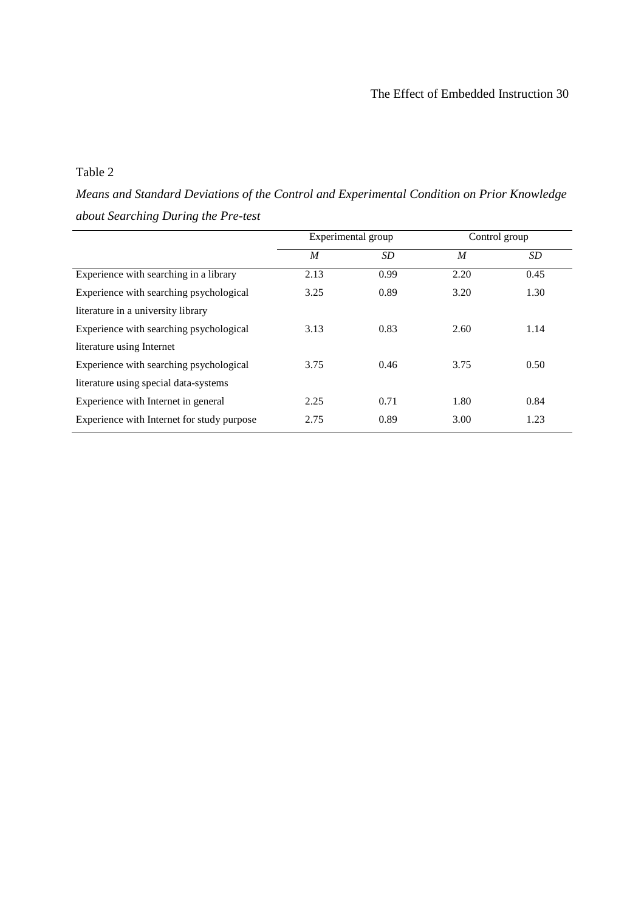## Table 2

*Means and Standard Deviations of the Control and Experimental Condition on Prior Knowledge about Searching During the Pre-test* 

|                                            |      | Experimental group |      | Control group |
|--------------------------------------------|------|--------------------|------|---------------|
|                                            | M    | SD.                | M    | SD            |
| Experience with searching in a library     | 2.13 | 0.99               | 2.20 | 0.45          |
| Experience with searching psychological    | 3.25 | 0.89               | 3.20 | 1.30          |
| literature in a university library         |      |                    |      |               |
| Experience with searching psychological    | 3.13 | 0.83               | 2.60 | 1.14          |
| literature using Internet                  |      |                    |      |               |
| Experience with searching psychological    | 3.75 | 0.46               | 3.75 | 0.50          |
| literature using special data-systems      |      |                    |      |               |
| Experience with Internet in general        | 2.25 | 0.71               | 1.80 | 0.84          |
| Experience with Internet for study purpose | 2.75 | 0.89               | 3.00 | 1.23          |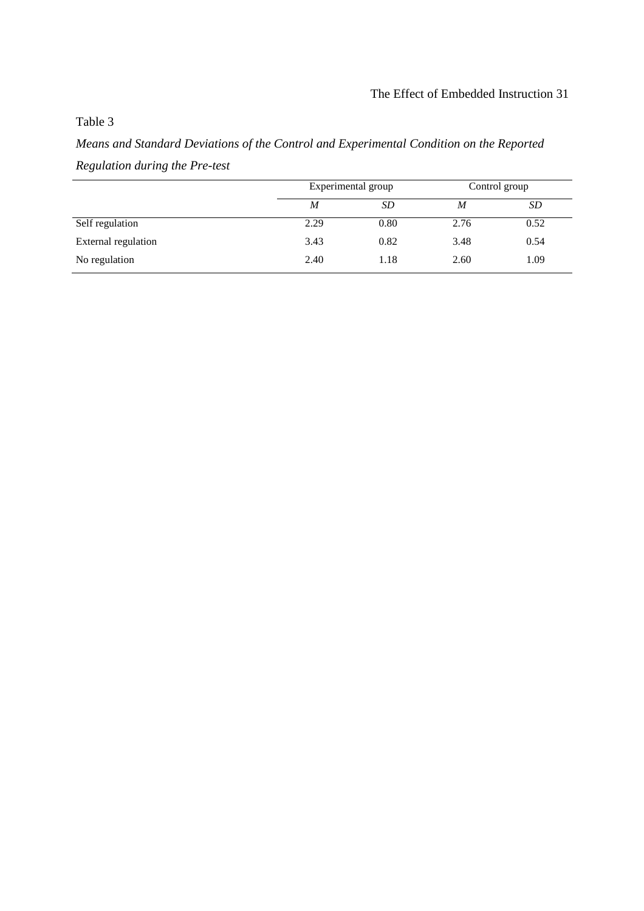# Table 3

*Means and Standard Deviations of the Control and Experimental Condition on the Reported Regulation during the Pre-test* 

|                     |      | Experimental group | Control group |      |  |
|---------------------|------|--------------------|---------------|------|--|
|                     | M    | SD                 | M             | SD   |  |
| Self regulation     | 2.29 | 0.80               | 2.76          | 0.52 |  |
| External regulation | 3.43 | 0.82               | 3.48          | 0.54 |  |
| No regulation       | 2.40 | 1.18               | 2.60          | 1.09 |  |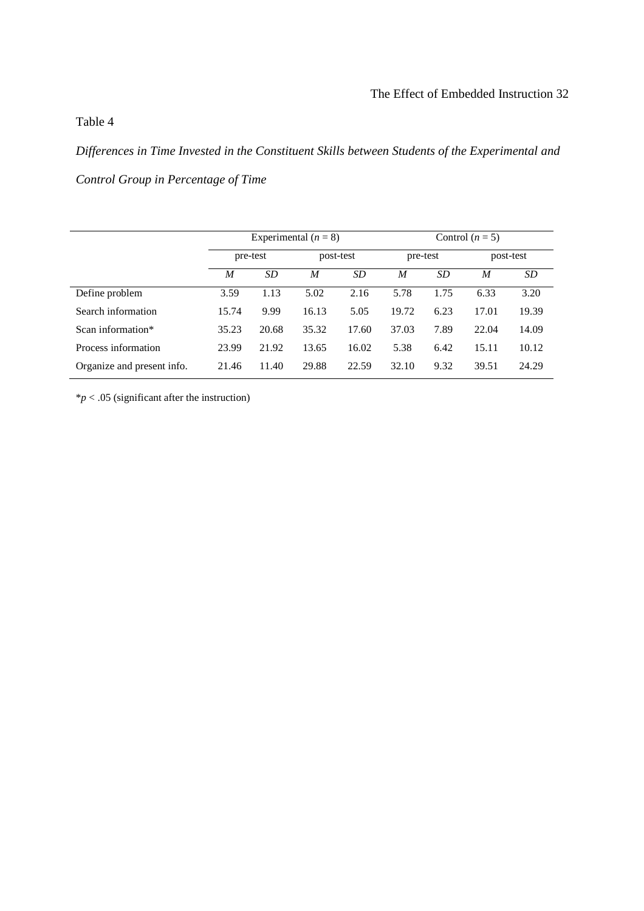# Table 4

*Differences in Time Invested in the Constituent Skills between Students of the Experimental and Control Group in Percentage of Time* 

|                            | Experimental $(n = 8)$ |       |           |       | Control $(n=5)$ |           |           |       |
|----------------------------|------------------------|-------|-----------|-------|-----------------|-----------|-----------|-------|
|                            | pre-test               |       | post-test |       | pre-test        |           | post-test |       |
|                            | M<br><b>SD</b>         |       | M         | SD    | M               | <b>SD</b> | M         | SD.   |
| Define problem             | 3.59                   | 1.13  | 5.02      | 2.16  | 5.78            | 1.75      | 6.33      | 3.20  |
| Search information         | 15.74                  | 9.99  | 16.13     | 5.05  | 19.72           | 6.23      | 17.01     | 19.39 |
| Scan information*          | 35.23                  | 20.68 | 35.32     | 17.60 | 37.03           | 7.89      | 22.04     | 14.09 |
| Process information        | 23.99                  | 21.92 | 13.65     | 16.02 | 5.38            | 6.42      | 15.11     | 10.12 |
| Organize and present info. | 21.46                  | 11.40 | 29.88     | 22.59 | 32.10           | 9.32      | 39.51     | 24.29 |

 $*p < .05$  (significant after the instruction)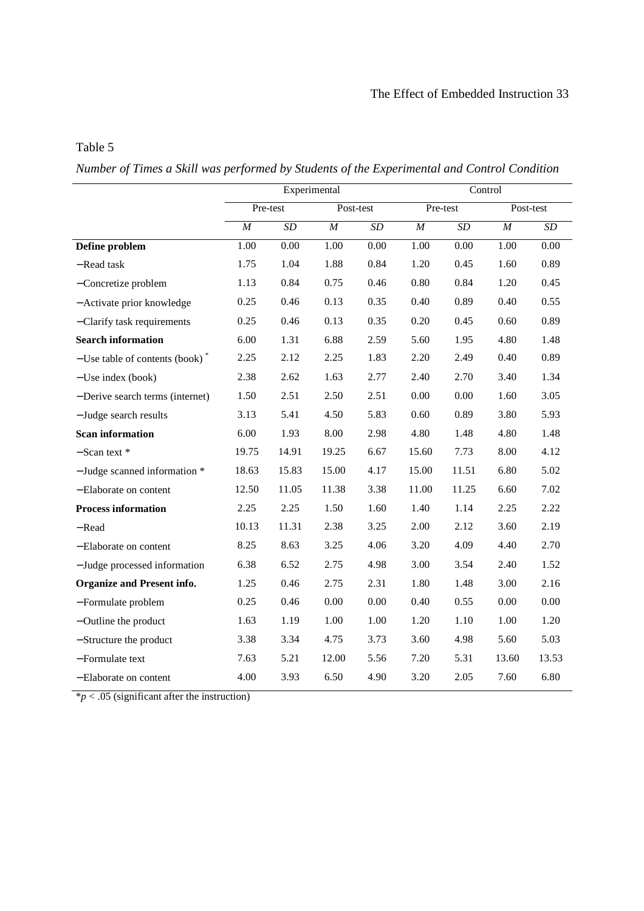# Table 5

*Number of Times a Skill was performed by Students of the Experimental and Control Condition* 

|                                               | Experimental      |                   |           |      | Control  |           |           |           |
|-----------------------------------------------|-------------------|-------------------|-----------|------|----------|-----------|-----------|-----------|
|                                               |                   | Pre-test          | Post-test |      | Pre-test |           | Post-test |           |
|                                               | $\boldsymbol{M}$  | SD                | M         | SD   | $\cal M$ | $\cal SD$ | $\cal M$  | $\cal SD$ |
| Define problem                                | $\overline{1.00}$ | $\overline{0.00}$ | 1.00      | 0.00 | 1.00     | 0.00      | 1.00      | 0.00      |
| - Read task                                   | 1.75              | 1.04              | 1.88      | 0.84 | 1.20     | 0.45      | 1.60      | 0.89      |
| -Concretize problem                           | 1.13              | 0.84              | 0.75      | 0.46 | 0.80     | 0.84      | 1.20      | 0.45      |
| - Activate prior knowledge                    | 0.25              | 0.46              | 0.13      | 0.35 | 0.40     | 0.89      | 0.40      | 0.55      |
| - Clarify task requirements                   | 0.25              | 0.46              | 0.13      | 0.35 | 0.20     | 0.45      | 0.60      | 0.89      |
| <b>Search information</b>                     | 6.00              | 1.31              | 6.88      | 2.59 | 5.60     | 1.95      | 4.80      | 1.48      |
| $-$ Use table of contents (book) <sup>*</sup> | 2.25              | 2.12              | 2.25      | 1.83 | 2.20     | 2.49      | 0.40      | 0.89      |
| $-$ Use index (book)                          | 2.38              | 2.62              | 1.63      | 2.77 | 2.40     | 2.70      | 3.40      | 1.34      |
| - Derive search terms (internet)              | 1.50              | 2.51              | 2.50      | 2.51 | 0.00     | 0.00      | 1.60      | 3.05      |
| - Judge search results                        | 3.13              | 5.41              | 4.50      | 5.83 | 0.60     | 0.89      | 3.80      | 5.93      |
| <b>Scan information</b>                       | 6.00              | 1.93              | 8.00      | 2.98 | 4.80     | 1.48      | 4.80      | 1.48      |
| $-$ Scan text $*$                             | 19.75             | 14.91             | 19.25     | 6.67 | 15.60    | 7.73      | 8.00      | 4.12      |
| $-$ Judge scanned information $*$             | 18.63             | 15.83             | 15.00     | 4.17 | 15.00    | 11.51     | 6.80      | 5.02      |
| -Elaborate on content                         | 12.50             | 11.05             | 11.38     | 3.38 | 11.00    | 11.25     | 6.60      | 7.02      |
| <b>Process information</b>                    | 2.25              | 2.25              | 1.50      | 1.60 | 1.40     | 1.14      | 2.25      | 2.22      |
| - Read                                        | 10.13             | 11.31             | 2.38      | 3.25 | 2.00     | 2.12      | 3.60      | 2.19      |
| -Elaborate on content                         | 8.25              | 8.63              | 3.25      | 4.06 | 3.20     | 4.09      | 4.40      | 2.70      |
| - Judge processed information                 | 6.38              | 6.52              | 2.75      | 4.98 | 3.00     | 3.54      | 2.40      | 1.52      |
| Organize and Present info.                    | 1.25              | 0.46              | 2.75      | 2.31 | 1.80     | 1.48      | 3.00      | 2.16      |
| -Formulate problem                            | 0.25              | 0.46              | 0.00      | 0.00 | 0.40     | 0.55      | 0.00      | $0.00\,$  |
| $-$ Outline the product                       | 1.63              | 1.19              | 1.00      | 1.00 | 1.20     | 1.10      | 1.00      | 1.20      |
| - Structure the product                       | 3.38              | 3.34              | 4.75      | 3.73 | 3.60     | 4.98      | 5.60      | 5.03      |
| - Formulate text                              | 7.63              | 5.21              | 12.00     | 5.56 | 7.20     | 5.31      | 13.60     | 13.53     |
| -Elaborate on content                         | 4.00              | 3.93              | 6.50      | 4.90 | 3.20     | 2.05      | 7.60      | 6.80      |

 $*p < .05$  (significant after the instruction)